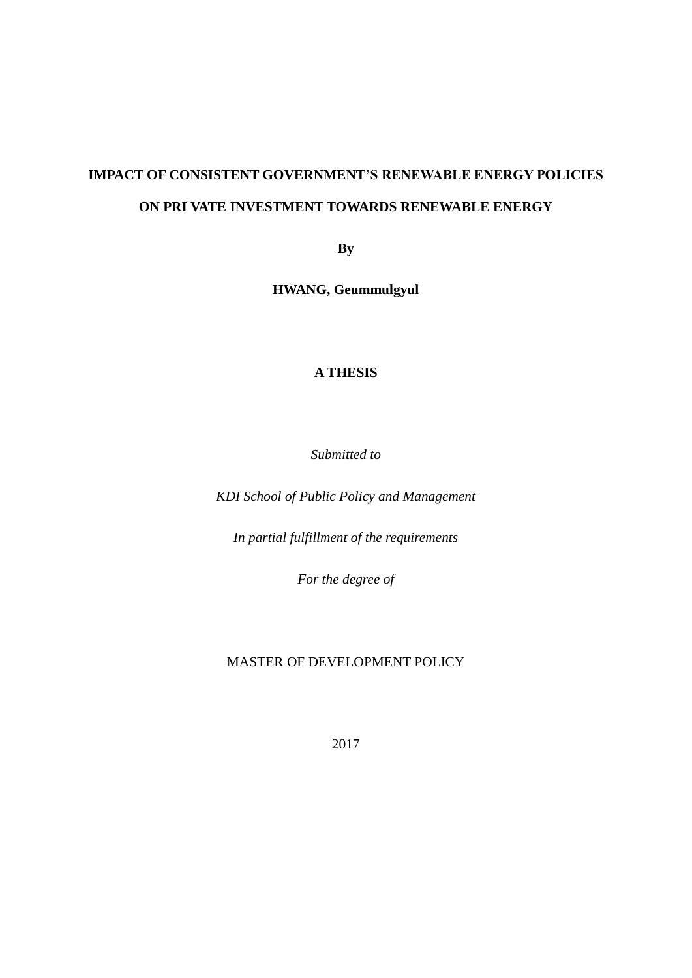# **IMPACT OF CONSISTENT GOVERNMENT'S RENEWABLE ENERGY POLICIES ON PRI VATE INVESTMENT TOWARDS RENEWABLE ENERGY**

**By**

**HWANG, Geummulgyul**

#### **A THESIS**

*Submitted to* 

*KDI School of Public Policy and Management*

*In partial fulfillment of the requirements*

*For the degree of*

#### MASTER OF DEVELOPMENT POLICY

2017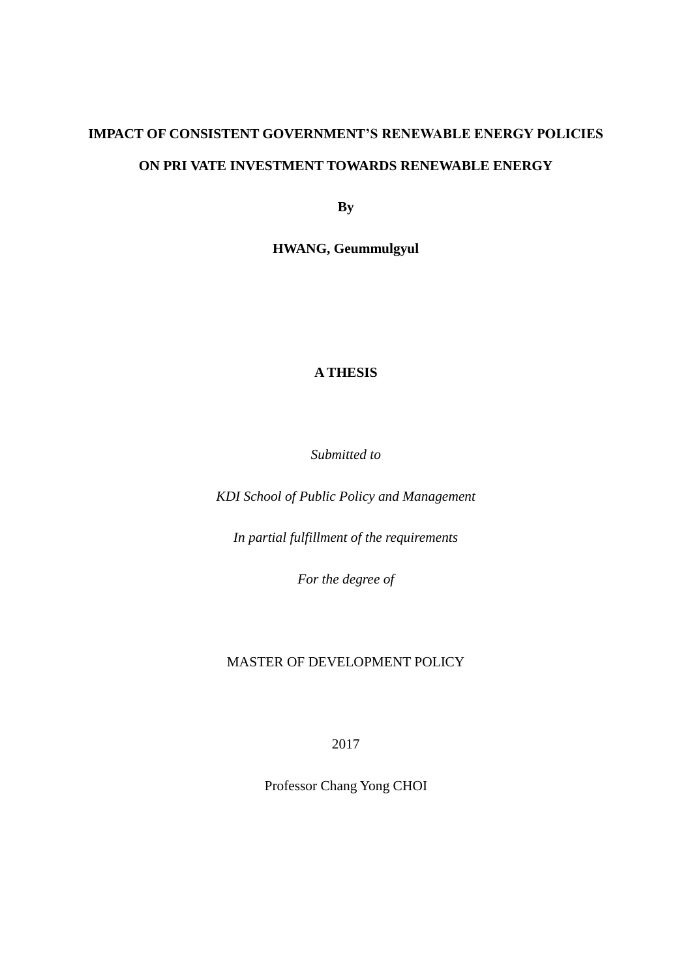## **IMPACT OF CONSISTENT GOVERNMENT'S RENEWABLE ENERGY POLICIES ON PRI VATE INVESTMENT TOWARDS RENEWABLE ENERGY**

**By**

**HWANG, Geummulgyul**

#### **A THESIS**

*Submitted to* 

*KDI School of Public Policy and Management*

*In partial fulfillment of the requirements*

*For the degree of*

#### MASTER OF DEVELOPMENT POLICY

2017

Professor Chang Yong CHOI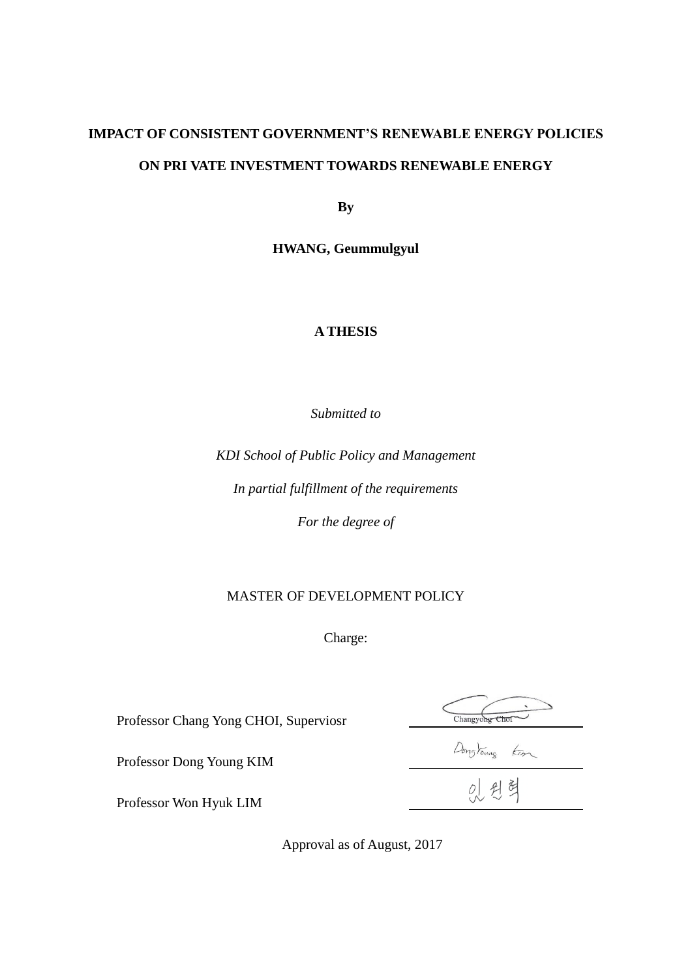## **IMPACT OF CONSISTENT GOVERNMENT'S RENEWABLE ENERGY POLICIES ON PRI VATE INVESTMENT TOWARDS RENEWABLE ENERGY**

**By**

**HWANG, Geummulgyul**

#### **A THESIS**

*Submitted to* 

*KDI School of Public Policy and Management*

*In partial fulfillment of the requirements*

*For the degree of*

#### MASTER OF DEVELOPMENT POLICY

Charge:

Professor Chang Yong CHOI, Superviosr

Changyong Chof

Dongtourg fim

Professor Won Hyuk LIM

Professor Dong Young KIM

Approval as of August, 2017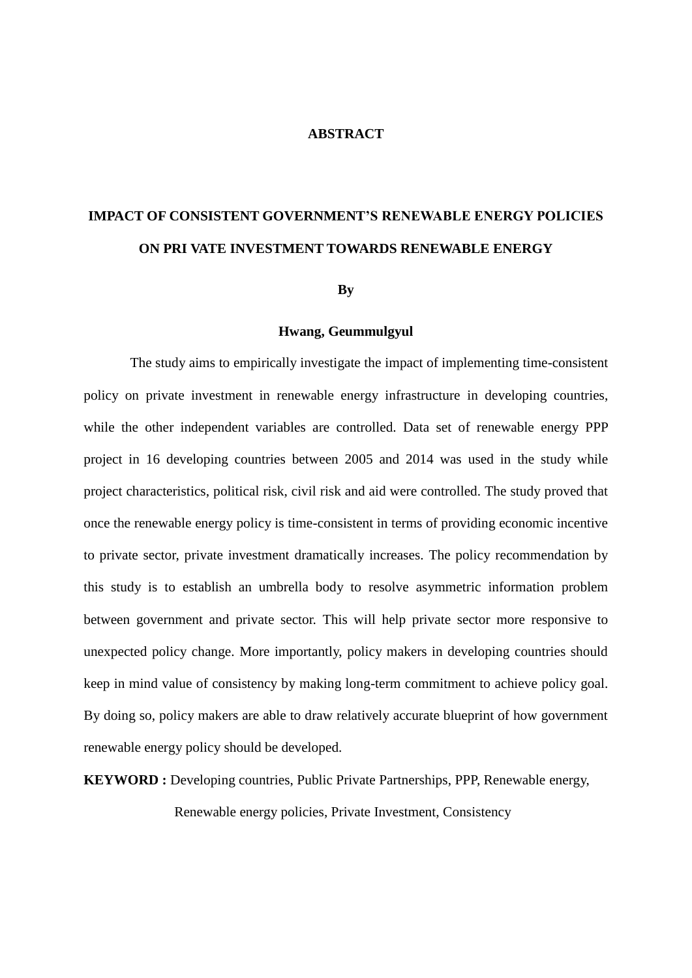#### **ABSTRACT**

# **IMPACT OF CONSISTENT GOVERNMENT'S RENEWABLE ENERGY POLICIES ON PRI VATE INVESTMENT TOWARDS RENEWABLE ENERGY**

#### **By**

#### **Hwang, Geummulgyul**

The study aims to empirically investigate the impact of implementing time-consistent policy on private investment in renewable energy infrastructure in developing countries, while the other independent variables are controlled. Data set of renewable energy PPP project in 16 developing countries between 2005 and 2014 was used in the study while project characteristics, political risk, civil risk and aid were controlled. The study proved that once the renewable energy policy is time-consistent in terms of providing economic incentive to private sector, private investment dramatically increases. The policy recommendation by this study is to establish an umbrella body to resolve asymmetric information problem between government and private sector. This will help private sector more responsive to unexpected policy change. More importantly, policy makers in developing countries should keep in mind value of consistency by making long-term commitment to achieve policy goal. By doing so, policy makers are able to draw relatively accurate blueprint of how government renewable energy policy should be developed.

**KEYWORD :** Developing countries, Public Private Partnerships, PPP, Renewable energy,

Renewable energy policies, Private Investment, Consistency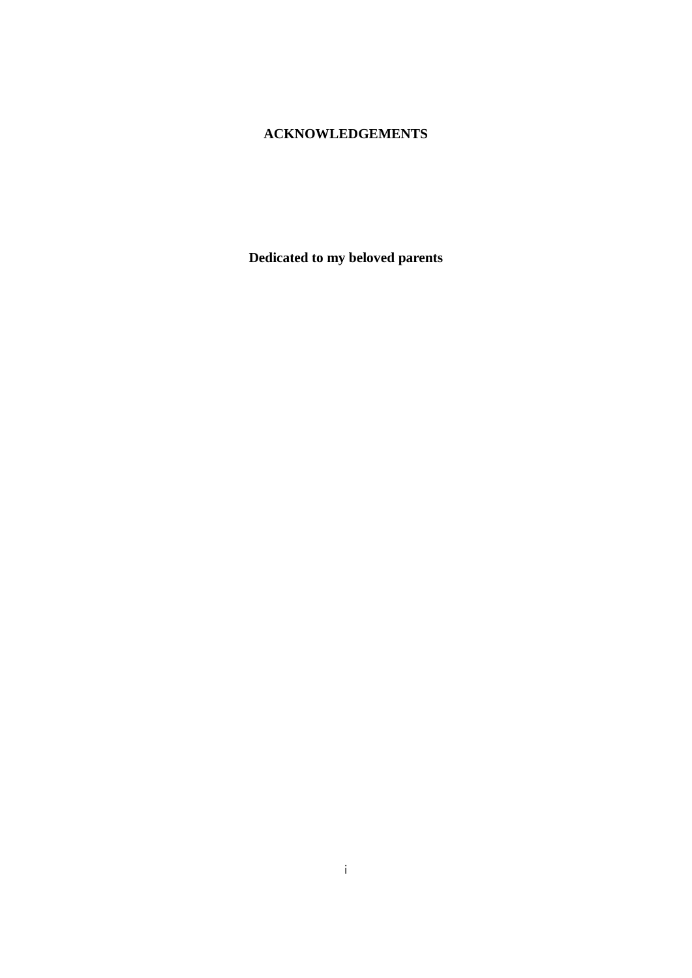### **ACKNOWLEDGEMENTS**

**Dedicated to my beloved parents**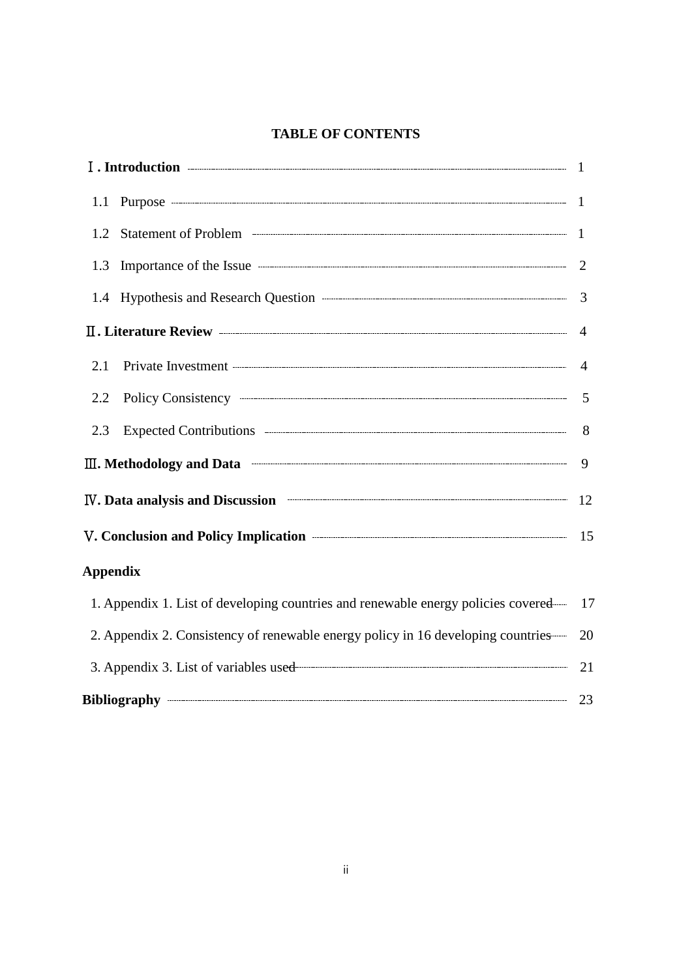### **TABLE OF CONTENTS**

| 1.2 Statement of Problem <b>CONSUMER 2006</b> Statement of Problem <b>CONSUMER</b>                                                                                                                                                                                           | $\overline{1}$ |
|------------------------------------------------------------------------------------------------------------------------------------------------------------------------------------------------------------------------------------------------------------------------------|----------------|
|                                                                                                                                                                                                                                                                              |                |
|                                                                                                                                                                                                                                                                              |                |
|                                                                                                                                                                                                                                                                              |                |
| 2.1                                                                                                                                                                                                                                                                          |                |
| 2.2                                                                                                                                                                                                                                                                          | -5             |
| Expected Contributions <b>Expected</b> Contributions <b>Expected</b> Contributions <b>Expected</b> Contributions <b>Expected</b> Contributions <b>EXPECTED</b><br>2.3                                                                                                        |                |
| III. Methodology and Data <b>Construction</b> and Data <b>Construction</b> and Data <b>Construction</b> and Data <b>Construction</b> and Data <b>Construction</b> and Data <b>Construction</b> and Data <b>Construction</b> and Data <b>Construction</b> and Data <b>Con</b> | $\mathbf{Q}$   |
| IV. Data analysis and Discussion <b>Example 20</b> 12                                                                                                                                                                                                                        |                |
| V. Conclusion and Policy Implication <b>Constanting Contract Constanting Constanting Constanting Constanting Constanting Constanting Constanting Constanting Constanting Constanting Constanting Constanting Constanting Constan</b>                                         |                |
| <b>Appendix</b>                                                                                                                                                                                                                                                              |                |
| 1. Appendix 1. List of developing countries and renewable energy policies covered—17                                                                                                                                                                                         |                |
| 2. Appendix 2. Consistency of renewable energy policy in 16 developing countries—                                                                                                                                                                                            | 20             |
|                                                                                                                                                                                                                                                                              | 21             |
|                                                                                                                                                                                                                                                                              |                |

| Bibliography |  |
|--------------|--|
|              |  |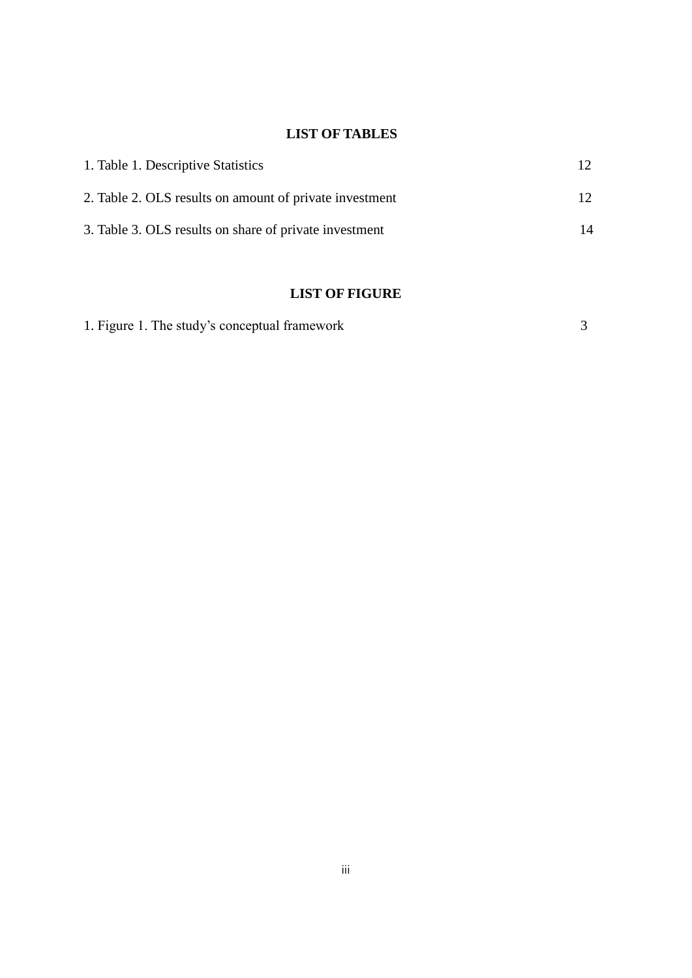### **LIST OF TABLES**

| 1. Table 1. Descriptive Statistics                      | 12.             |
|---------------------------------------------------------|-----------------|
| 2. Table 2. OLS results on amount of private investment | 12 <sub>1</sub> |
| 3. Table 3. OLS results on share of private investment  | 14              |

### **LIST OF FIGURE**

| 1. Figure 1. The study's conceptual framework |
|-----------------------------------------------|
|-----------------------------------------------|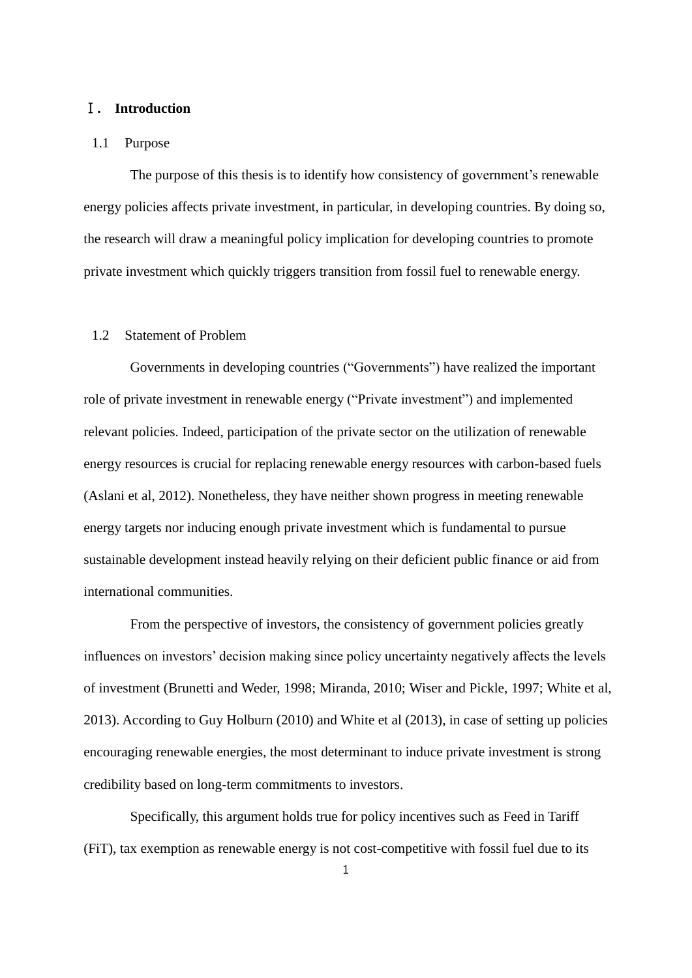#### Ⅰ**. Introduction**

#### 1.1 Purpose

The purpose of this thesis is to identify how consistency of government's renewable energy policies affects private investment, in particular, in developing countries. By doing so, the research will draw a meaningful policy implication for developing countries to promote private investment which quickly triggers transition from fossil fuel to renewable energy.

#### 1.2 Statement of Problem

Governments in developing countries ("Governments") have realized the important role of private investment in renewable energy ("Private investment") and implemented relevant policies. Indeed, participation of the private sector on the utilization of renewable energy resources is crucial for replacing renewable energy resources with carbon-based fuels (Aslani et al, 2012). Nonetheless, they have neither shown progress in meeting renewable energy targets nor inducing enough private investment which is fundamental to pursue sustainable development instead heavily relying on their deficient public finance or aid from international communities.

From the perspective of investors, the consistency of government policies greatly influences on investors' decision making since policy uncertainty negatively affects the levels of investment (Brunetti and Weder, 1998; Miranda, 2010; Wiser and Pickle, 1997; White et al, 2013). According to Guy Holburn (2010) and White et al (2013), in case of setting up policies encouraging renewable energies, the most determinant to induce private investment is strong credibility based on long-term commitments to investors.

Specifically, this argument holds true for policy incentives such as Feed in Tariff (FiT), tax exemption as renewable energy is not cost-competitive with fossil fuel due to its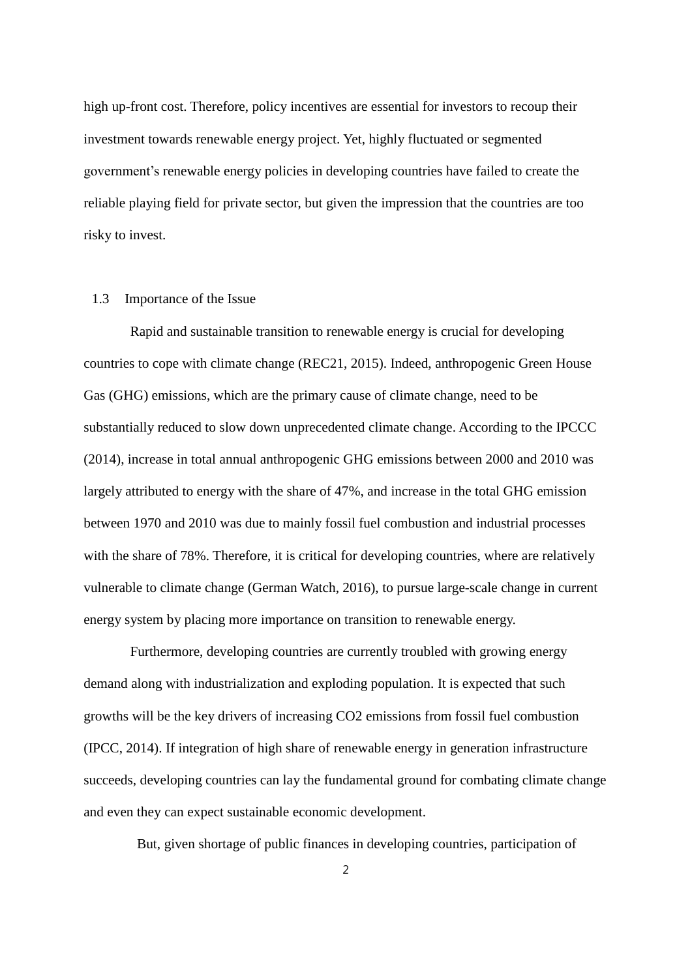high up-front cost. Therefore, policy incentives are essential for investors to recoup their investment towards renewable energy project. Yet, highly fluctuated or segmented government's renewable energy policies in developing countries have failed to create the reliable playing field for private sector, but given the impression that the countries are too risky to invest.

#### 1.3 Importance of the Issue

Rapid and sustainable transition to renewable energy is crucial for developing countries to cope with climate change (REC21, 2015). Indeed, anthropogenic Green House Gas (GHG) emissions, which are the primary cause of climate change, need to be substantially reduced to slow down unprecedented climate change. According to the IPCCC (2014), increase in total annual anthropogenic GHG emissions between 2000 and 2010 was largely attributed to energy with the share of 47%, and increase in the total GHG emission between 1970 and 2010 was due to mainly fossil fuel combustion and industrial processes with the share of 78%. Therefore, it is critical for developing countries, where are relatively vulnerable to climate change (German Watch, 2016), to pursue large-scale change in current energy system by placing more importance on transition to renewable energy.

Furthermore, developing countries are currently troubled with growing energy demand along with industrialization and exploding population. It is expected that such growths will be the key drivers of increasing CO2 emissions from fossil fuel combustion (IPCC, 2014). If integration of high share of renewable energy in generation infrastructure succeeds, developing countries can lay the fundamental ground for combating climate change and even they can expect sustainable economic development.

But, given shortage of public finances in developing countries, participation of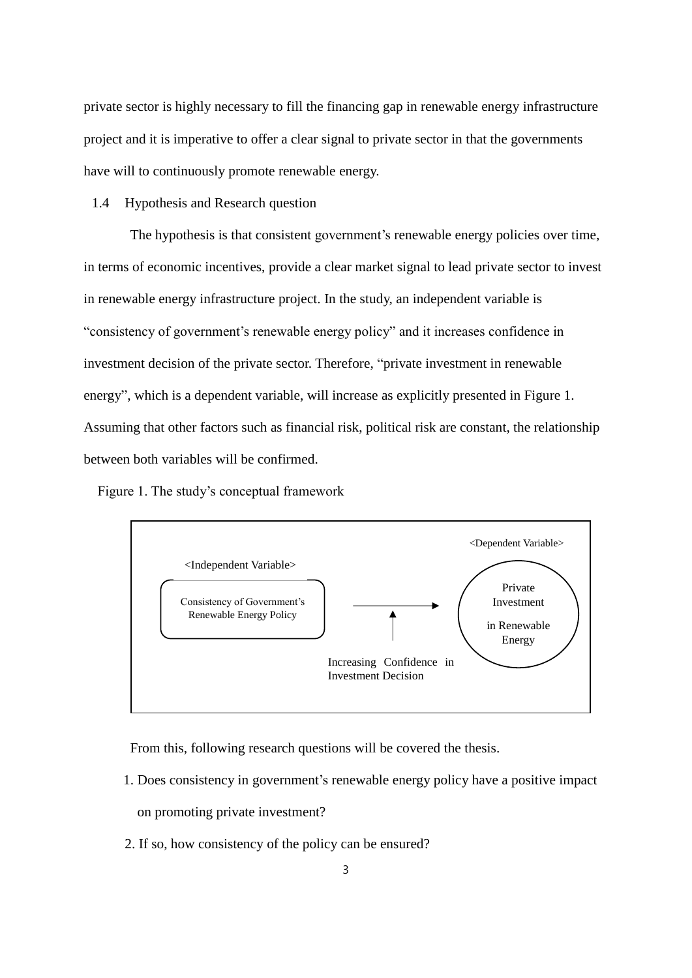private sector is highly necessary to fill the financing gap in renewable energy infrastructure project and it is imperative to offer a clear signal to private sector in that the governments have will to continuously promote renewable energy.

#### 1.4 Hypothesis and Research question

The hypothesis is that consistent government's renewable energy policies over time, in terms of economic incentives, provide a clear market signal to lead private sector to invest in renewable energy infrastructure project. In the study, an independent variable is "consistency of government's renewable energy policy" and it increases confidence in investment decision of the private sector. Therefore, "private investment in renewable energy", which is a dependent variable, will increase as explicitly presented in Figure 1. Assuming that other factors such as financial risk, political risk are constant, the relationship between both variables will be confirmed.

Figure 1. The study's conceptual framework



From this, following research questions will be covered the thesis.

1. Does consistency in government's renewable energy policy have a positive impact

on promoting private investment?

2. If so, how consistency of the policy can be ensured?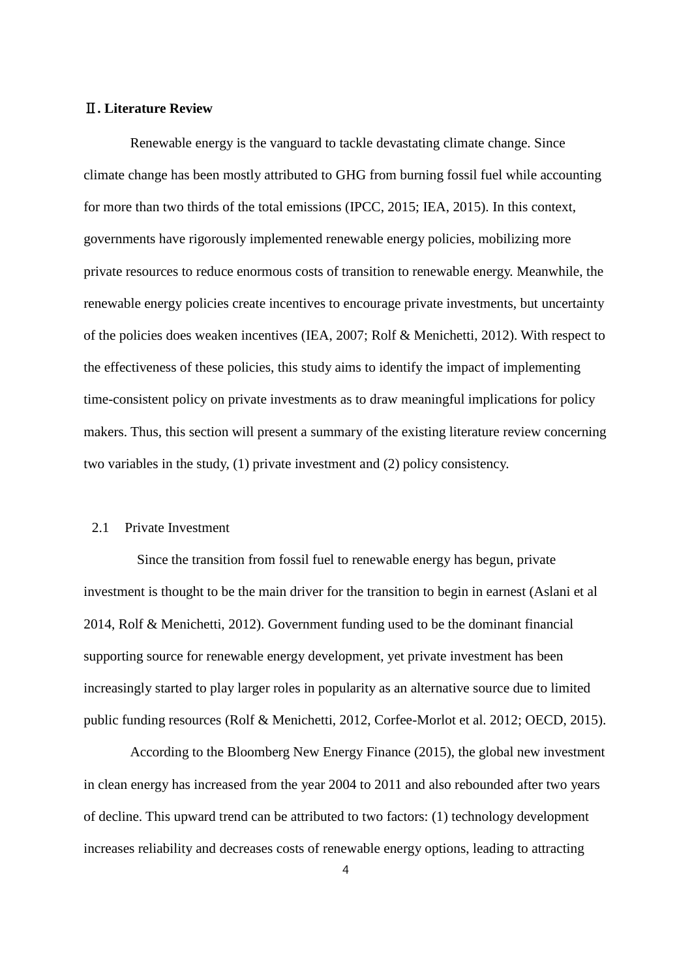#### Ⅱ**. Literature Review**

Renewable energy is the vanguard to tackle devastating climate change. Since climate change has been mostly attributed to GHG from burning fossil fuel while accounting for more than two thirds of the total emissions (IPCC, 2015; IEA, 2015). In this context, governments have rigorously implemented renewable energy policies, mobilizing more private resources to reduce enormous costs of transition to renewable energy. Meanwhile, the renewable energy policies create incentives to encourage private investments, but uncertainty of the policies does weaken incentives (IEA, 2007; Rolf & Menichetti, 2012). With respect to the effectiveness of these policies, this study aims to identify the impact of implementing time-consistent policy on private investments as to draw meaningful implications for policy makers. Thus, this section will present a summary of the existing literature review concerning two variables in the study, (1) private investment and (2) policy consistency.

#### 2.1 Private Investment

Since the transition from fossil fuel to renewable energy has begun, private investment is thought to be the main driver for the transition to begin in earnest (Aslani et al 2014, Rolf & Menichetti, 2012). Government funding used to be the dominant financial supporting source for renewable energy development, yet private investment has been increasingly started to play larger roles in popularity as an alternative source due to limited public funding resources (Rolf & Menichetti, 2012, Corfee-Morlot et al. 2012; OECD, 2015).

According to the Bloomberg New Energy Finance (2015), the global new investment in clean energy has increased from the year 2004 to 2011 and also rebounded after two years of decline. This upward trend can be attributed to two factors: (1) technology development increases reliability and decreases costs of renewable energy options, leading to attracting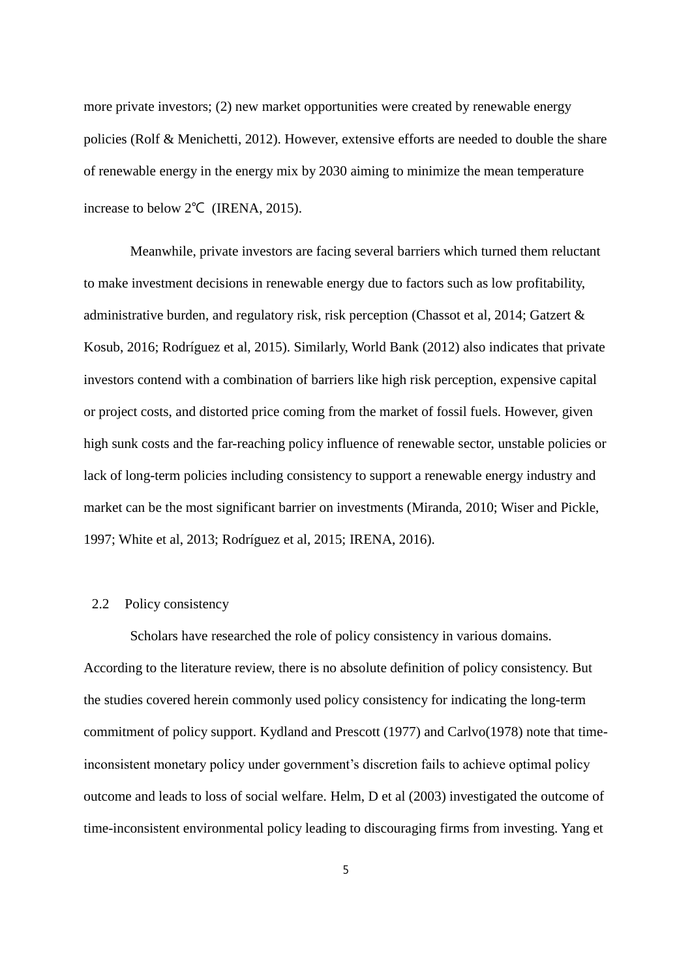more private investors; (2) new market opportunities were created by renewable energy policies (Rolf & Menichetti, 2012). However, extensive efforts are needed to double the share of renewable energy in the energy mix by 2030 aiming to minimize the mean temperature increase to below 2℃ (IRENA, 2015).

Meanwhile, private investors are facing several barriers which turned them reluctant to make investment decisions in renewable energy due to factors such as low profitability, administrative burden, and regulatory risk, risk perception (Chassot et al, 2014; Gatzert & Kosub, 2016; Rodríguez et al, 2015). Similarly, World Bank (2012) also indicates that private investors contend with a combination of barriers like high risk perception, expensive capital or project costs, and distorted price coming from the market of fossil fuels. However, given high sunk costs and the far-reaching policy influence of renewable sector, unstable policies or lack of long-term policies including consistency to support a renewable energy industry and market can be the most significant barrier on investments (Miranda, 2010; Wiser and Pickle, 1997; White et al, 2013; Rodríguez et al, 2015; IRENA, 2016).

#### 2.2 Policy consistency

Scholars have researched the role of policy consistency in various domains. According to the literature review, there is no absolute definition of policy consistency. But the studies covered herein commonly used policy consistency for indicating the long-term commitment of policy support. Kydland and Prescott (1977) and Carlvo(1978) note that timeinconsistent monetary policy under government's discretion fails to achieve optimal policy outcome and leads to loss of social welfare. Helm, D et al (2003) investigated the outcome of time-inconsistent environmental policy leading to discouraging firms from investing. Yang et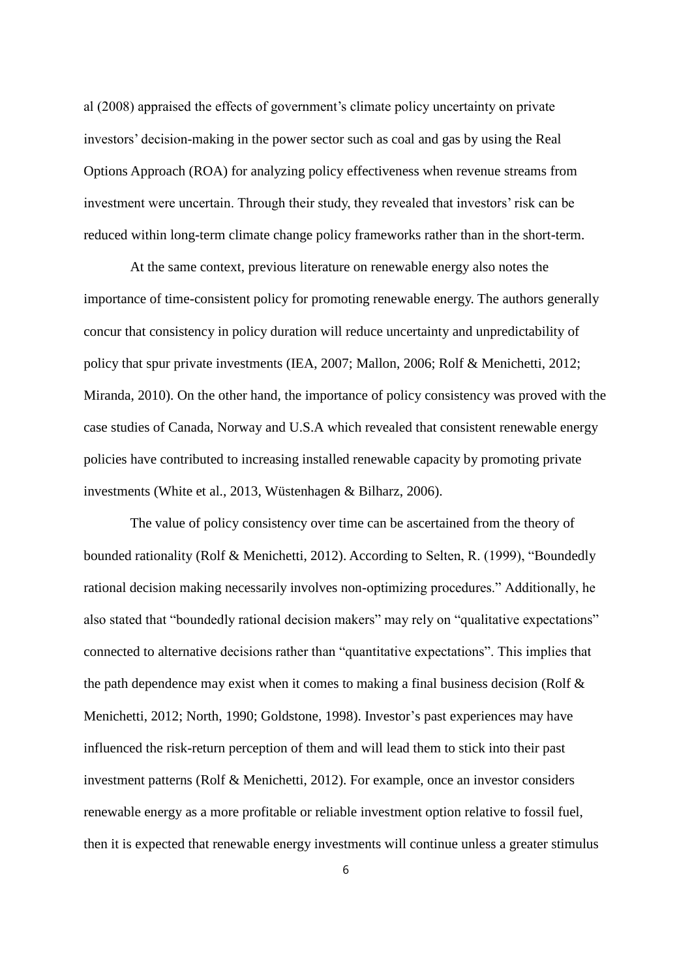al (2008) appraised the effects of government's climate policy uncertainty on private investors' decision-making in the power sector such as coal and gas by using the Real Options Approach (ROA) for analyzing policy effectiveness when revenue streams from investment were uncertain. Through their study, they revealed that investors' risk can be reduced within long-term climate change policy frameworks rather than in the short-term.

At the same context, previous literature on renewable energy also notes the importance of time-consistent policy for promoting renewable energy. The authors generally concur that consistency in policy duration will reduce uncertainty and unpredictability of policy that spur private investments (IEA, 2007; Mallon, 2006; Rolf & Menichetti, 2012; Miranda, 2010). On the other hand, the importance of policy consistency was proved with the case studies of Canada, Norway and U.S.A which revealed that consistent renewable energy policies have contributed to increasing installed renewable capacity by promoting private investments (White et al., 2013, Wüstenhagen & Bilharz, 2006).

The value of policy consistency over time can be ascertained from the theory of bounded rationality (Rolf & Menichetti, 2012). According to Selten, R. (1999), "Boundedly rational decision making necessarily involves non-optimizing procedures." Additionally, he also stated that "boundedly rational decision makers" may rely on "qualitative expectations" connected to alternative decisions rather than "quantitative expectations". This implies that the path dependence may exist when it comes to making a final business decision (Rolf & Menichetti, 2012; North, 1990; Goldstone, 1998). Investor's past experiences may have influenced the risk-return perception of them and will lead them to stick into their past investment patterns (Rolf & Menichetti, 2012). For example, once an investor considers renewable energy as a more profitable or reliable investment option relative to fossil fuel, then it is expected that renewable energy investments will continue unless a greater stimulus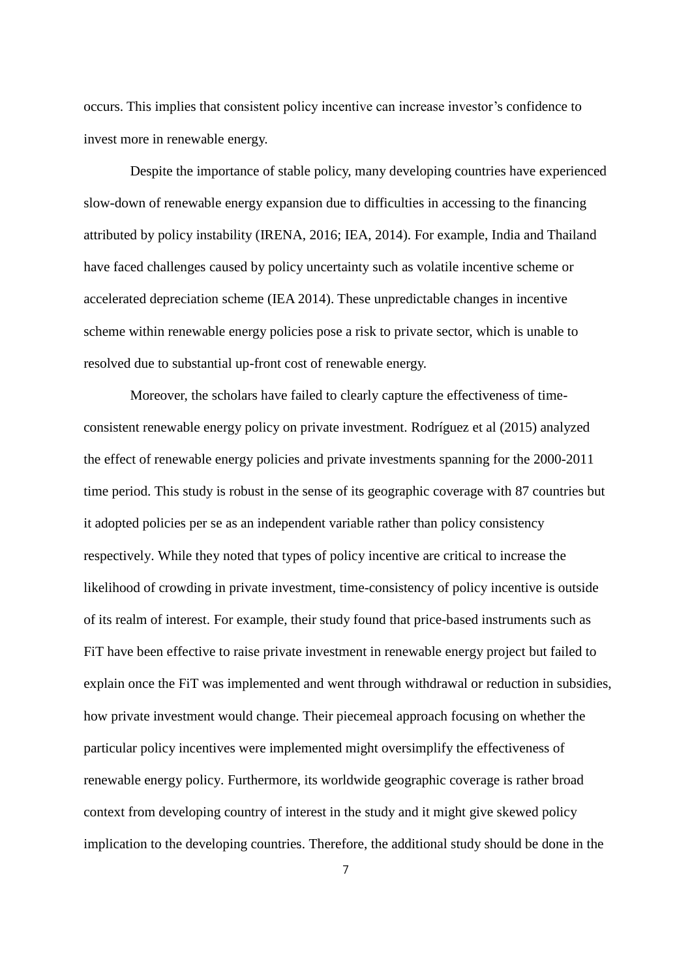occurs. This implies that consistent policy incentive can increase investor's confidence to invest more in renewable energy.

Despite the importance of stable policy, many developing countries have experienced slow-down of renewable energy expansion due to difficulties in accessing to the financing attributed by policy instability (IRENA, 2016; IEA, 2014). For example, India and Thailand have faced challenges caused by policy uncertainty such as volatile incentive scheme or accelerated depreciation scheme (IEA 2014). These unpredictable changes in incentive scheme within renewable energy policies pose a risk to private sector, which is unable to resolved due to substantial up-front cost of renewable energy.

Moreover, the scholars have failed to clearly capture the effectiveness of timeconsistent renewable energy policy on private investment. Rodríguez et al (2015) analyzed the effect of renewable energy policies and private investments spanning for the 2000-2011 time period. This study is robust in the sense of its geographic coverage with 87 countries but it adopted policies per se as an independent variable rather than policy consistency respectively. While they noted that types of policy incentive are critical to increase the likelihood of crowding in private investment, time-consistency of policy incentive is outside of its realm of interest. For example, their study found that price-based instruments such as FiT have been effective to raise private investment in renewable energy project but failed to explain once the FiT was implemented and went through withdrawal or reduction in subsidies, how private investment would change. Their piecemeal approach focusing on whether the particular policy incentives were implemented might oversimplify the effectiveness of renewable energy policy. Furthermore, its worldwide geographic coverage is rather broad context from developing country of interest in the study and it might give skewed policy implication to the developing countries. Therefore, the additional study should be done in the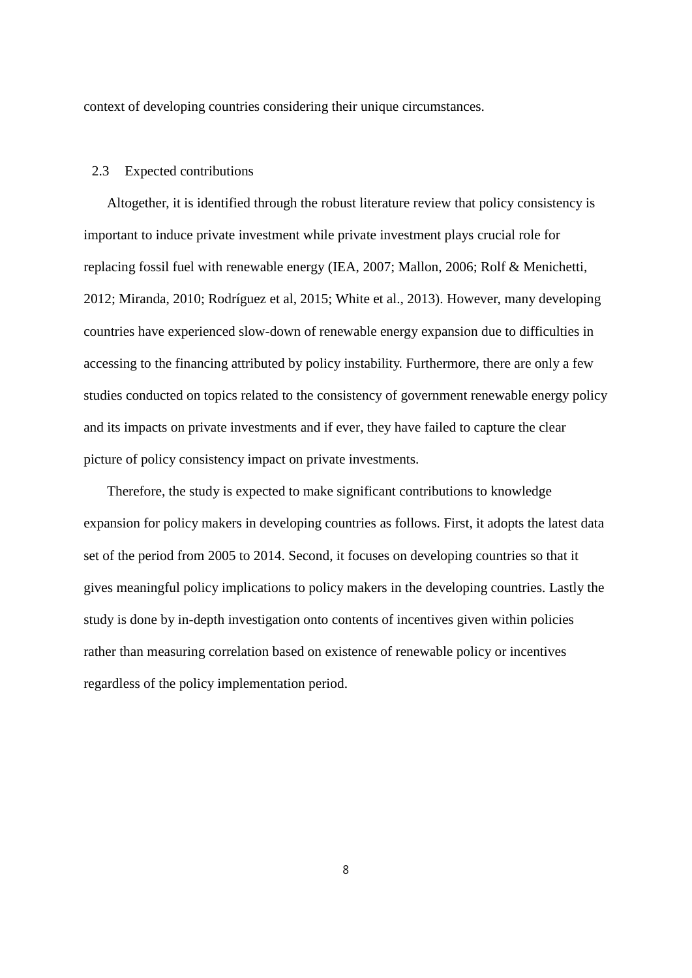context of developing countries considering their unique circumstances.

#### 2.3 Expected contributions

Altogether, it is identified through the robust literature review that policy consistency is important to induce private investment while private investment plays crucial role for replacing fossil fuel with renewable energy (IEA, 2007; Mallon, 2006; Rolf & Menichetti, 2012; Miranda, 2010; Rodríguez et al, 2015; White et al., 2013). However, many developing countries have experienced slow-down of renewable energy expansion due to difficulties in accessing to the financing attributed by policy instability. Furthermore, there are only a few studies conducted on topics related to the consistency of government renewable energy policy and its impacts on private investments and if ever, they have failed to capture the clear picture of policy consistency impact on private investments.

Therefore, the study is expected to make significant contributions to knowledge expansion for policy makers in developing countries as follows. First, it adopts the latest data set of the period from 2005 to 2014. Second, it focuses on developing countries so that it gives meaningful policy implications to policy makers in the developing countries. Lastly the study is done by in-depth investigation onto contents of incentives given within policies rather than measuring correlation based on existence of renewable policy or incentives regardless of the policy implementation period.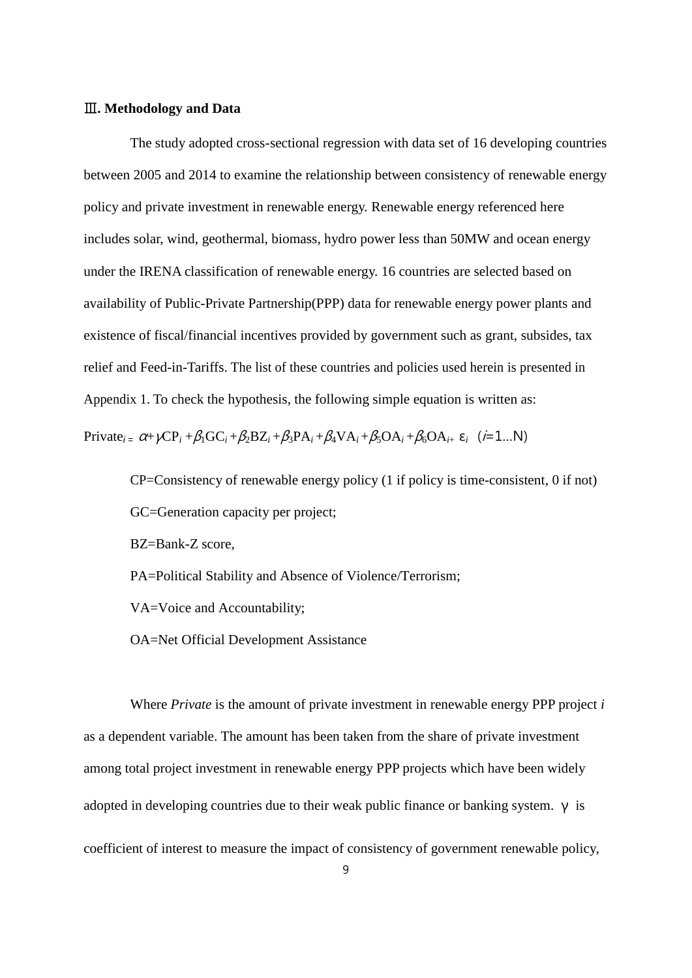#### Ⅲ**. Methodology and Data**

The study adopted cross-sectional regression with data set of 16 developing countries between 2005 and 2014 to examine the relationship between consistency of renewable energy policy and private investment in renewable energy. Renewable energy referenced here includes solar, wind, geothermal, biomass, hydro power less than 50MW and ocean energy under the IRENA classification of renewable energy. 16 countries are selected based on availability of Public-Private Partnership(PPP) data for renewable energy power plants and existence of fiscal/financial incentives provided by government such as grant, subsides, tax relief and Feed-in-Tariffs. The list of these countries and policies used herein is presented in Appendix 1. To check the hypothesis, the following simple equation is written as:

Private<sub>*i*=</sub>  $\alpha$ + $\gamma$ CP<sub>*i*</sub> + $\beta$ <sub>1</sub>GC<sub>*i*</sub> + $\beta$ <sub>2</sub>BZ<sub>*i*</sub> + $\beta$ <sub>3</sub>PA<sub>*i*</sub> + $\beta$ <sub>4</sub>VA<sub>*i*</sub> + $\beta$ <sub>5</sub>OA<sub>*i*</sub> + $\beta$ <sub>6</sub>OA<sub>*i*+</sub> $\epsilon$ *<sub><i>i*</sub> (*i*=1...N)

CP=Consistency of renewable energy policy (1 if policy is time-consistent, 0 if not) GC=Generation capacity per project;

BZ=Bank-Z score,

PA=Political Stability and Absence of Violence/Terrorism;

VA=Voice and Accountability;

OA=Net Official Development Assistance

Where *Private* is the amount of private investment in renewable energy PPP project *i* as a dependent variable. The amount has been taken from the share of private investment among total project investment in renewable energy PPP projects which have been widely adopted in developing countries due to their weak public finance or banking system.  $\nu$  is coefficient of interest to measure the impact of consistency of government renewable policy,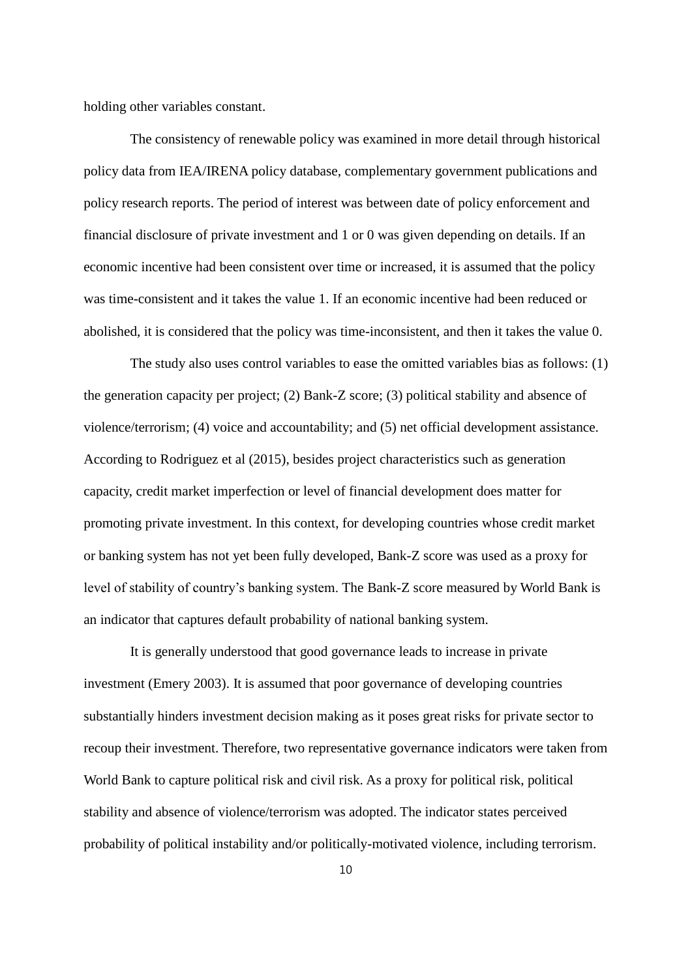holding other variables constant.

The consistency of renewable policy was examined in more detail through historical policy data from IEA/IRENA policy database, complementary government publications and policy research reports. The period of interest was between date of policy enforcement and financial disclosure of private investment and 1 or 0 was given depending on details. If an economic incentive had been consistent over time or increased, it is assumed that the policy was time-consistent and it takes the value 1. If an economic incentive had been reduced or abolished, it is considered that the policy was time-inconsistent, and then it takes the value 0.

The study also uses control variables to ease the omitted variables bias as follows: (1) the generation capacity per project; (2) Bank-Z score; (3) political stability and absence of violence/terrorism; (4) voice and accountability; and (5) net official development assistance. According to Rodriguez et al (2015), besides project characteristics such as generation capacity, credit market imperfection or level of financial development does matter for promoting private investment. In this context, for developing countries whose credit market or banking system has not yet been fully developed, Bank-Z score was used as a proxy for level of stability of country's banking system. The Bank-Z score measured by World Bank is an indicator that captures default probability of national banking system.

It is generally understood that good governance leads to increase in private investment (Emery 2003). It is assumed that poor governance of developing countries substantially hinders investment decision making as it poses great risks for private sector to recoup their investment. Therefore, two representative governance indicators were taken from World Bank to capture political risk and civil risk. As a proxy for political risk, political stability and absence of violence/terrorism was adopted. The indicator states perceived probability of political instability and/or politically-motivated violence, including terrorism.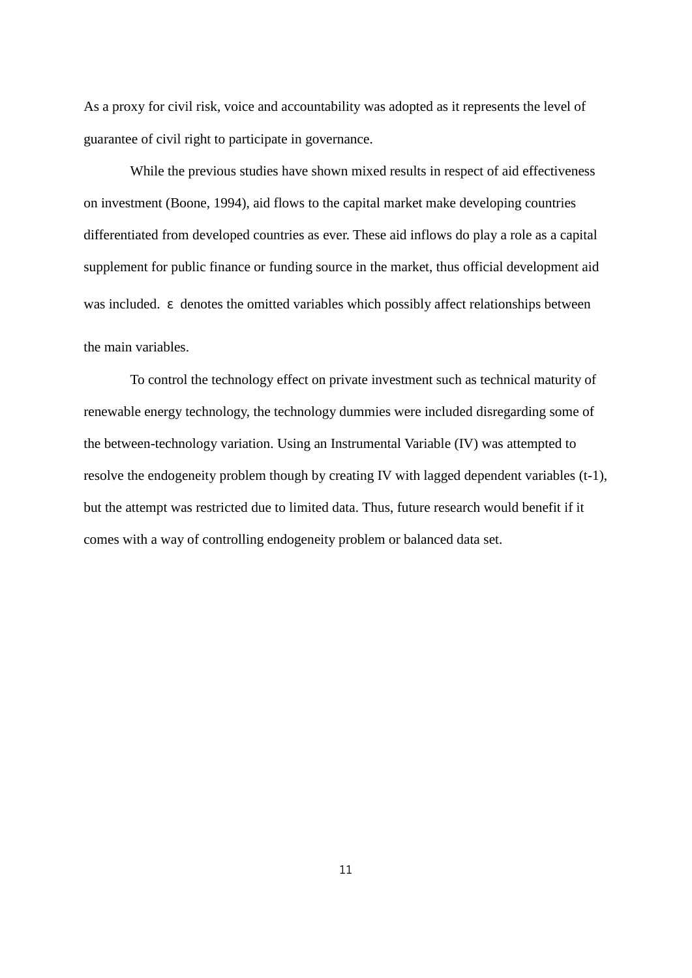As a proxy for civil risk, voice and accountability was adopted as it represents the level of guarantee of civil right to participate in governance.

While the previous studies have shown mixed results in respect of aid effectiveness on investment (Boone, 1994), aid flows to the capital market make developing countries differentiated from developed countries as ever. These aid inflows do play a role as a capital supplement for public finance or funding source in the market, thus official development aid was included. ε denotes the omitted variables which possibly affect relationships between the main variables.

To control the technology effect on private investment such as technical maturity of renewable energy technology, the technology dummies were included disregarding some of the between-technology variation. Using an Instrumental Variable (IV) was attempted to resolve the endogeneity problem though by creating IV with lagged dependent variables (t-1), but the attempt was restricted due to limited data. Thus, future research would benefit if it comes with a way of controlling endogeneity problem or balanced data set.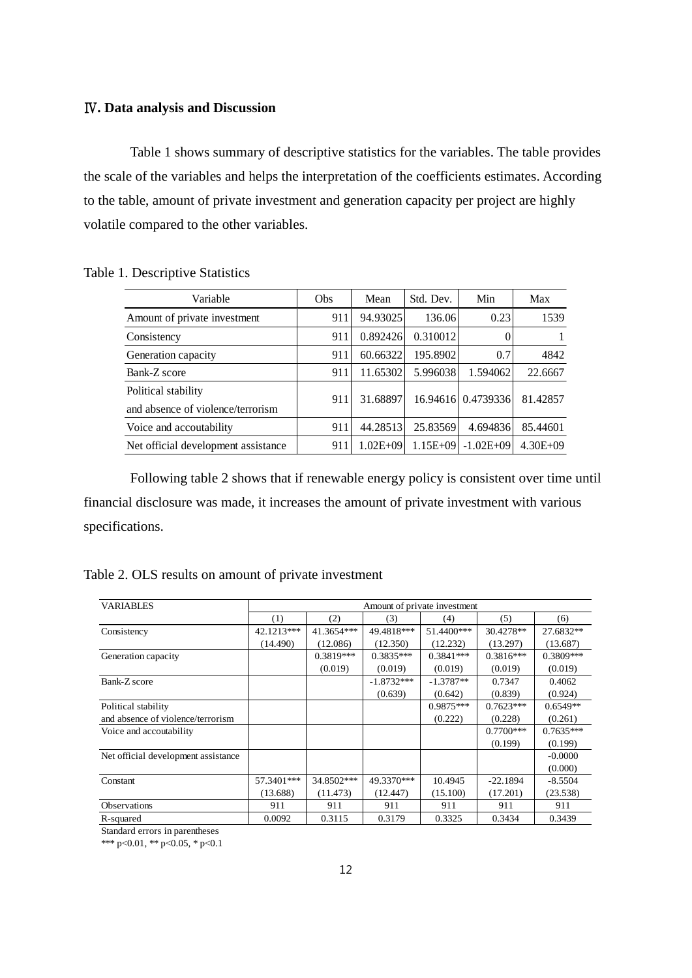#### Ⅳ**. Data analysis and Discussion**

Table 1 shows summary of descriptive statistics for the variables. The table provides the scale of the variables and helps the interpretation of the coefficients estimates. According to the table, amount of private investment and generation capacity per project are highly volatile compared to the other variables.

| Variable                            | <b>Obs</b> | Mean         | Std. Dev.    | Min                | Max          |
|-------------------------------------|------------|--------------|--------------|--------------------|--------------|
| Amount of private investment        | 911        | 94.93025     | 136.06       | 0.23               | 1539         |
| Consistency                         | 911        | 0.892426     | 0.310012     | 0                  |              |
| Generation capacity                 | 911        | 60.66322     | 195.8902     | 0.7                | 4842         |
| Bank-Z score                        | 911        | 11.65302     | 5.996038     | 1.594062           | 22.6667      |
| Political stability                 | 911        | 31.68897     |              | 16.94616 0.4739336 | 81.42857     |
| and absence of violence/terrorism   |            |              |              |                    |              |
| Voice and accoutability             | 911        | 44.28513     | 25.83569     | 4.694836           | 85.44601     |
| Net official development assistance | 911        | $1.02E + 09$ | $1.15E + 09$ | $-1.02E + 09$      | $4.30E + 09$ |

Table 1. Descriptive Statistics

Following table 2 shows that if renewable energy policy is consistent over time until financial disclosure was made, it increases the amount of private investment with various specifications.

| Table 2. OLS results on amount of private investment |  |  |  |  |
|------------------------------------------------------|--|--|--|--|
|------------------------------------------------------|--|--|--|--|

| <b>VARIABLES</b>                    | Amount of private investment |             |              |             |              |             |  |  |  |
|-------------------------------------|------------------------------|-------------|--------------|-------------|--------------|-------------|--|--|--|
|                                     | (1)                          | (2)         | (3)          | (4)         | (5)          | (6)         |  |  |  |
| Consistency                         | 42.1213***                   | 41.3654***  | 49.4818***   | 51.4400***  | 30.4278**    | 27.6832**   |  |  |  |
|                                     | (14.490)                     | (12.086)    | (12.350)     | (12.232)    | (13.297)     | (13.687)    |  |  |  |
| Generation capacity                 |                              | $0.3819***$ | $0.3835***$  | $0.3841***$ | $0.3816***$  | $0.3809***$ |  |  |  |
|                                     |                              | (0.019)     | (0.019)      | (0.019)     | (0.019)      | (0.019)     |  |  |  |
| Bank-Z score                        |                              |             | $-1.8732***$ | $-1.3787**$ | 0.7347       | 0.4062      |  |  |  |
|                                     |                              |             | (0.639)      | (0.642)     | (0.839)      | (0.924)     |  |  |  |
| Political stability                 |                              |             |              | $0.9875***$ | $0.7623***$  | $0.6549**$  |  |  |  |
| and absence of violence/terrorism   |                              |             |              | (0.222)     | (0.228)      | (0.261)     |  |  |  |
| Voice and accoutability             |                              |             |              |             | $0.7700$ *** | $0.7635***$ |  |  |  |
|                                     |                              |             |              |             | (0.199)      | (0.199)     |  |  |  |
| Net official development assistance |                              |             |              |             |              | $-0.0000$   |  |  |  |
|                                     |                              |             |              |             |              | (0.000)     |  |  |  |
| Constant                            | 57.3401***                   | 34.8502***  | 49.3370***   | 10.4945     | $-22.1894$   | $-8.5504$   |  |  |  |
|                                     | (13.688)                     | (11.473)    | (12.447)     | (15.100)    | (17.201)     | (23.538)    |  |  |  |
| <b>Observations</b>                 | 911                          | 911         | 911          | 911         | 911          | 911         |  |  |  |
| R-squared                           | 0.0092                       | 0.3115      | 0.3179       | 0.3325      | 0.3434       | 0.3439      |  |  |  |

Standard errors in parentheses

\*\*\* p<0.01, \*\* p<0.05, \* p<0.1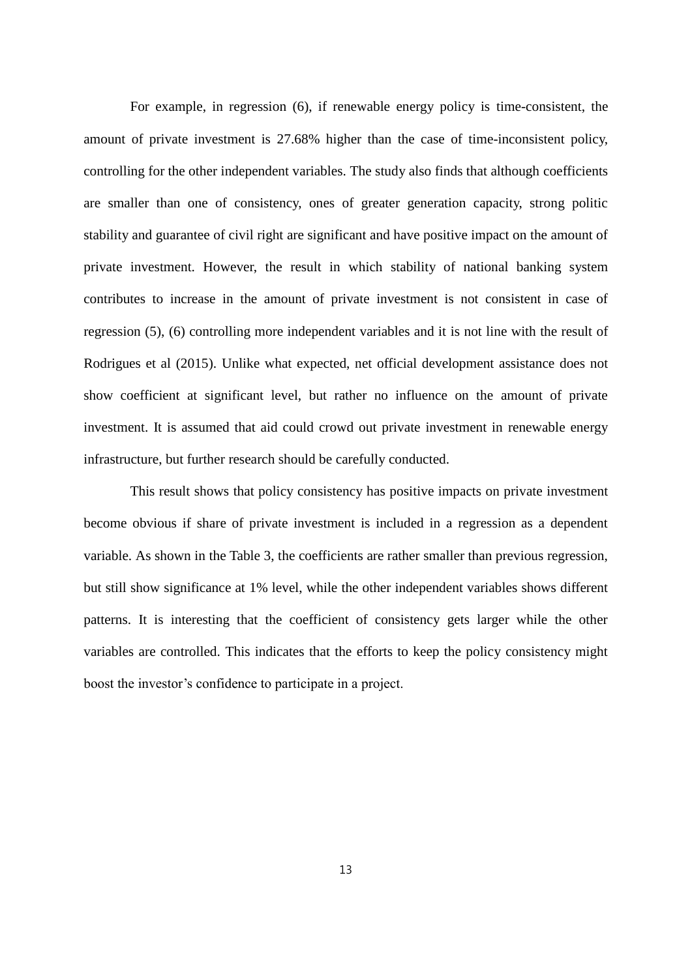For example, in regression (6), if renewable energy policy is time-consistent, the amount of private investment is 27.68% higher than the case of time-inconsistent policy, controlling for the other independent variables. The study also finds that although coefficients are smaller than one of consistency, ones of greater generation capacity, strong politic stability and guarantee of civil right are significant and have positive impact on the amount of private investment. However, the result in which stability of national banking system contributes to increase in the amount of private investment is not consistent in case of regression (5), (6) controlling more independent variables and it is not line with the result of Rodrigues et al (2015). Unlike what expected, net official development assistance does not show coefficient at significant level, but rather no influence on the amount of private investment. It is assumed that aid could crowd out private investment in renewable energy infrastructure, but further research should be carefully conducted.

This result shows that policy consistency has positive impacts on private investment become obvious if share of private investment is included in a regression as a dependent variable. As shown in the Table 3, the coefficients are rather smaller than previous regression, but still show significance at 1% level, while the other independent variables shows different patterns. It is interesting that the coefficient of consistency gets larger while the other variables are controlled. This indicates that the efforts to keep the policy consistency might boost the investor's confidence to participate in a project.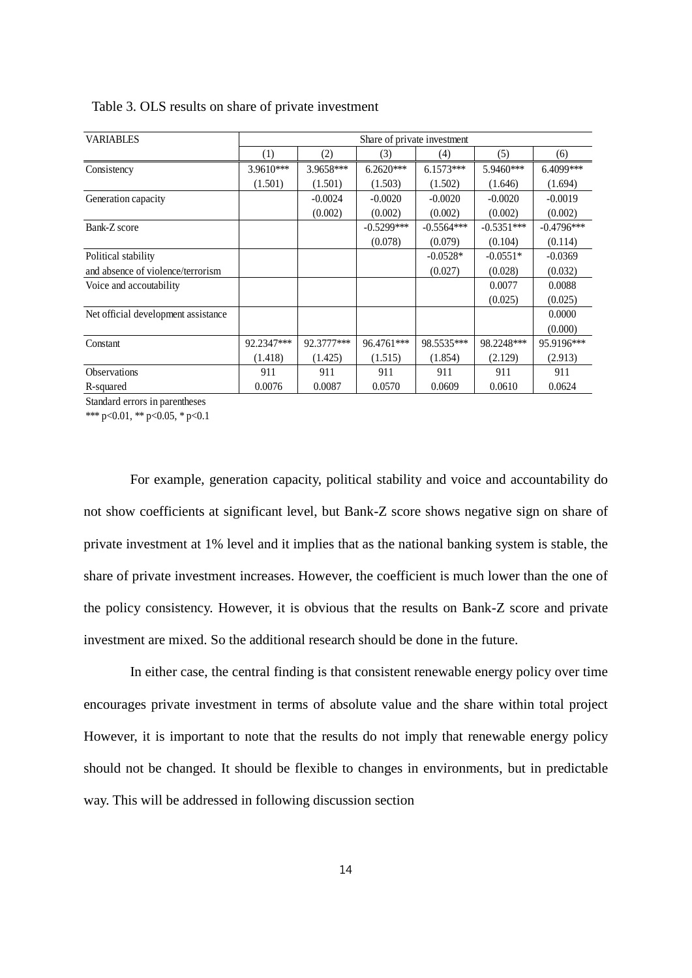| <b>VARIABLES</b>                    | Share of private investment |            |              |              |              |              |  |  |  |
|-------------------------------------|-----------------------------|------------|--------------|--------------|--------------|--------------|--|--|--|
|                                     | (1)                         | (2)        | (3)          | (4)          | (5)          | (6)          |  |  |  |
| Consistency                         | $3.9610***$                 | 3.9658***  | $6.2620***$  | $6.1573***$  | 5.9460***    | 6.4099***    |  |  |  |
|                                     | (1.501)                     | (1.501)    | (1.503)      | (1.502)      | (1.646)      | (1.694)      |  |  |  |
| Generation capacity                 |                             | $-0.0024$  | $-0.0020$    | $-0.0020$    | $-0.0020$    | $-0.0019$    |  |  |  |
|                                     |                             | (0.002)    | (0.002)      | (0.002)      | (0.002)      | (0.002)      |  |  |  |
| Bank-Z score                        |                             |            | $-0.5299***$ | $-0.5564***$ | $-0.5351***$ | $-0.4796***$ |  |  |  |
|                                     |                             |            | (0.078)      | (0.079)      | (0.104)      | (0.114)      |  |  |  |
| Political stability                 |                             |            |              | $-0.0528*$   | $-0.0551*$   | $-0.0369$    |  |  |  |
| and absence of violence/terrorism   |                             |            |              | (0.027)      | (0.028)      | (0.032)      |  |  |  |
| Voice and accoutability             |                             |            |              |              | 0.0077       | 0.0088       |  |  |  |
|                                     |                             |            |              |              | (0.025)      | (0.025)      |  |  |  |
| Net official development assistance |                             |            |              |              |              | 0.0000       |  |  |  |
|                                     |                             |            |              |              |              | (0.000)      |  |  |  |
| Constant                            | 92.2347***                  | 92.3777*** | 96.4761***   | 98.5535***   | 98.2248***   | 95.9196***   |  |  |  |
|                                     | (1.418)                     | (1.425)    | (1.515)      | (1.854)      | (2.129)      | (2.913)      |  |  |  |
| Observations                        | 911                         | 911        | 911          | 911          | 911          | 911          |  |  |  |
| R-squared                           | 0.0076                      | 0.0087     | 0.0570       | 0.0609       | 0.0610       | 0.0624       |  |  |  |

Table 3. OLS results on share of private investment

Standard errors in parentheses

\*\*\* p<0.01, \*\* p<0.05, \* p<0.1

For example, generation capacity, political stability and voice and accountability do not show coefficients at significant level, but Bank-Z score shows negative sign on share of private investment at 1% level and it implies that as the national banking system is stable, the share of private investment increases. However, the coefficient is much lower than the one of the policy consistency. However, it is obvious that the results on Bank-Z score and private investment are mixed. So the additional research should be done in the future.

In either case, the central finding is that consistent renewable energy policy over time encourages private investment in terms of absolute value and the share within total project However, it is important to note that the results do not imply that renewable energy policy should not be changed. It should be flexible to changes in environments, but in predictable way. This will be addressed in following discussion section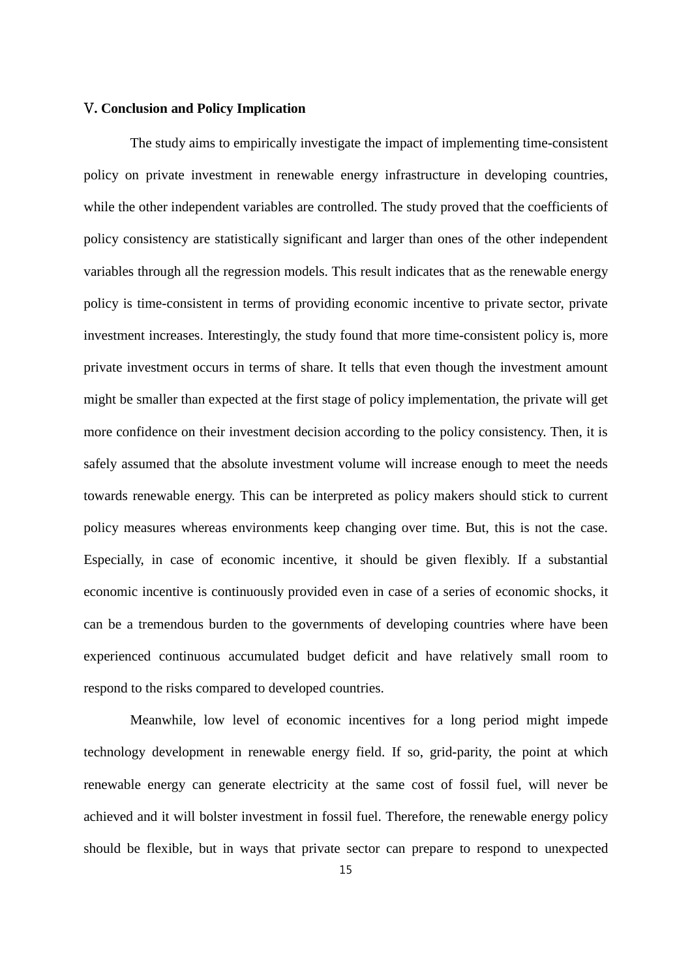#### V**. Conclusion and Policy Implication**

The study aims to empirically investigate the impact of implementing time-consistent policy on private investment in renewable energy infrastructure in developing countries, while the other independent variables are controlled. The study proved that the coefficients of policy consistency are statistically significant and larger than ones of the other independent variables through all the regression models. This result indicates that as the renewable energy policy is time-consistent in terms of providing economic incentive to private sector, private investment increases. Interestingly, the study found that more time-consistent policy is, more private investment occurs in terms of share. It tells that even though the investment amount might be smaller than expected at the first stage of policy implementation, the private will get more confidence on their investment decision according to the policy consistency. Then, it is safely assumed that the absolute investment volume will increase enough to meet the needs towards renewable energy. This can be interpreted as policy makers should stick to current policy measures whereas environments keep changing over time. But, this is not the case. Especially, in case of economic incentive, it should be given flexibly. If a substantial economic incentive is continuously provided even in case of a series of economic shocks, it can be a tremendous burden to the governments of developing countries where have been experienced continuous accumulated budget deficit and have relatively small room to respond to the risks compared to developed countries.

Meanwhile, low level of economic incentives for a long period might impede technology development in renewable energy field. If so, grid-parity, the point at which renewable energy can generate electricity at the same cost of fossil fuel, will never be achieved and it will bolster investment in fossil fuel. Therefore, the renewable energy policy should be flexible, but in ways that private sector can prepare to respond to unexpected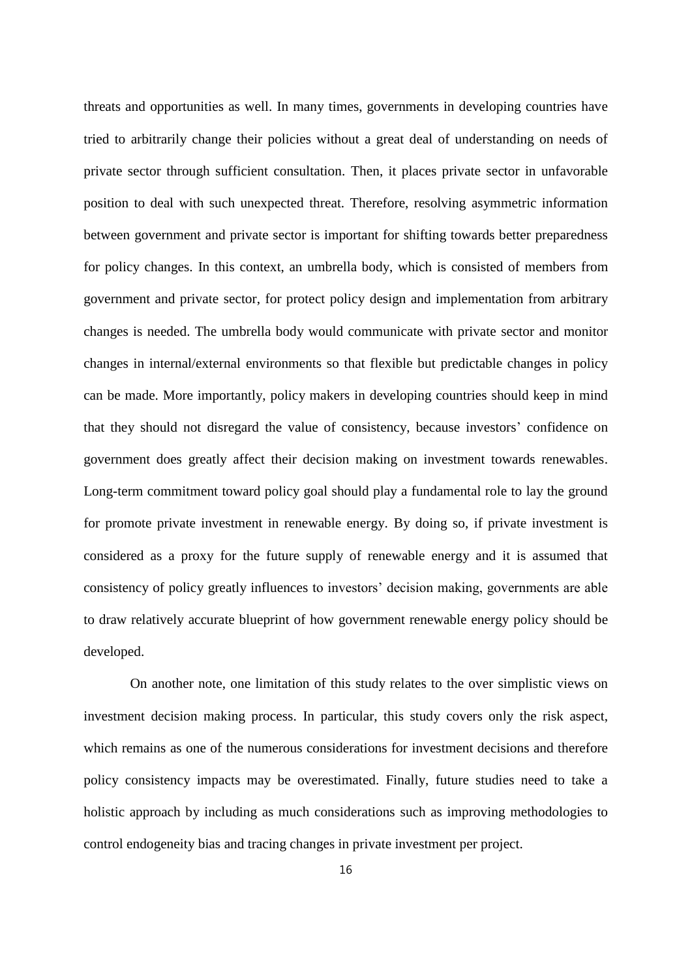threats and opportunities as well. In many times, governments in developing countries have tried to arbitrarily change their policies without a great deal of understanding on needs of private sector through sufficient consultation. Then, it places private sector in unfavorable position to deal with such unexpected threat. Therefore, resolving asymmetric information between government and private sector is important for shifting towards better preparedness for policy changes. In this context, an umbrella body, which is consisted of members from government and private sector, for protect policy design and implementation from arbitrary changes is needed. The umbrella body would communicate with private sector and monitor changes in internal/external environments so that flexible but predictable changes in policy can be made. More importantly, policy makers in developing countries should keep in mind that they should not disregard the value of consistency, because investors' confidence on government does greatly affect their decision making on investment towards renewables. Long-term commitment toward policy goal should play a fundamental role to lay the ground for promote private investment in renewable energy. By doing so, if private investment is considered as a proxy for the future supply of renewable energy and it is assumed that consistency of policy greatly influences to investors' decision making, governments are able to draw relatively accurate blueprint of how government renewable energy policy should be developed.

On another note, one limitation of this study relates to the over simplistic views on investment decision making process. In particular, this study covers only the risk aspect, which remains as one of the numerous considerations for investment decisions and therefore policy consistency impacts may be overestimated. Finally, future studies need to take a holistic approach by including as much considerations such as improving methodologies to control endogeneity bias and tracing changes in private investment per project.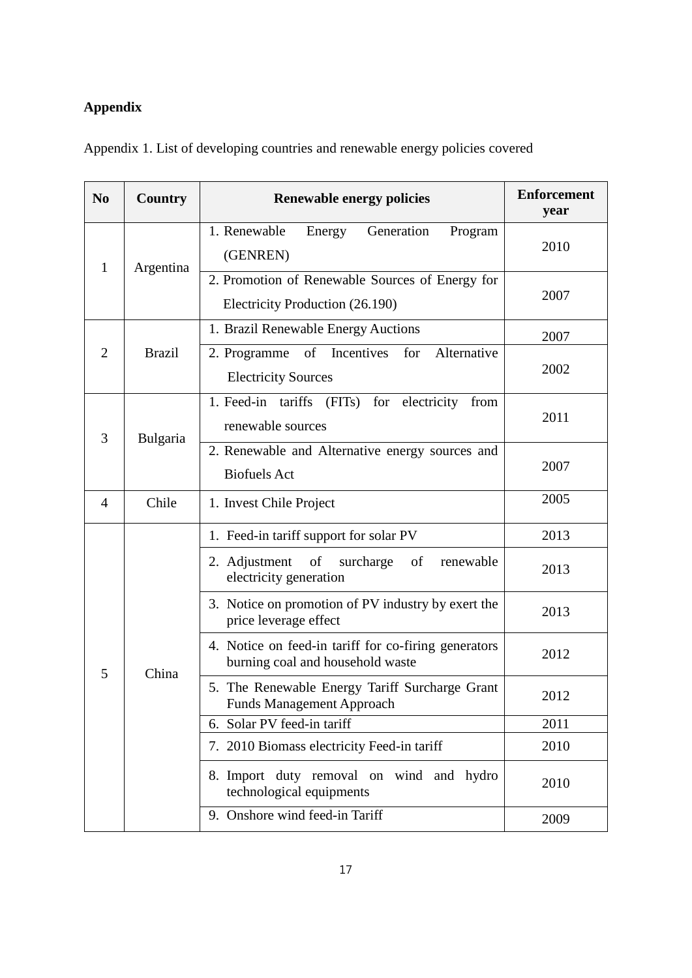## **Appendix**

| N <sub>0</sub> | <b>Country</b>                                                                     | <b>Renewable energy policies</b>                                                         | <b>Enforcement</b><br>year |
|----------------|------------------------------------------------------------------------------------|------------------------------------------------------------------------------------------|----------------------------|
| 1              | Argentina                                                                          | 1. Renewable<br>Energy<br>Generation<br>Program<br>(GENREN)                              | 2010                       |
|                |                                                                                    | 2. Promotion of Renewable Sources of Energy for<br>Electricity Production (26.190)       | 2007                       |
|                |                                                                                    | 1. Brazil Renewable Energy Auctions                                                      | 2007                       |
| $\overline{2}$ | <b>Brazil</b>                                                                      | of Incentives<br>Alternative<br>2. Programme<br>for<br><b>Electricity Sources</b>        | 2002                       |
| 3              | Bulgaria                                                                           | 1. Feed-in tariffs (FITs) for electricity from<br>renewable sources                      | 2011                       |
|                |                                                                                    | 2. Renewable and Alternative energy sources and<br><b>Biofuels Act</b>                   | 2007                       |
| $\overline{4}$ | Chile                                                                              | 1. Invest Chile Project                                                                  | 2005                       |
| 5              |                                                                                    | 1. Feed-in tariff support for solar PV                                                   | 2013                       |
|                |                                                                                    | 2. Adjustment of surcharge<br>of<br>renewable<br>electricity generation                  | 2013                       |
|                |                                                                                    | 3. Notice on promotion of PV industry by exert the<br>price leverage effect              | 2013                       |
|                | China                                                                              | 4. Notice on feed-in tariff for co-firing generators<br>burning coal and household waste | 2012                       |
|                | 5. The Renewable Energy Tariff Surcharge Grant<br><b>Funds Management Approach</b> | 2012                                                                                     |                            |
|                |                                                                                    | 6. Solar PV feed-in tariff                                                               | 2011                       |
|                |                                                                                    | 7. 2010 Biomass electricity Feed-in tariff                                               | 2010                       |
|                |                                                                                    | 8. Import duty removal on wind and hydro<br>technological equipments                     | 2010                       |
|                |                                                                                    | 9. Onshore wind feed-in Tariff                                                           | 2009                       |

Appendix 1. List of developing countries and renewable energy policies covered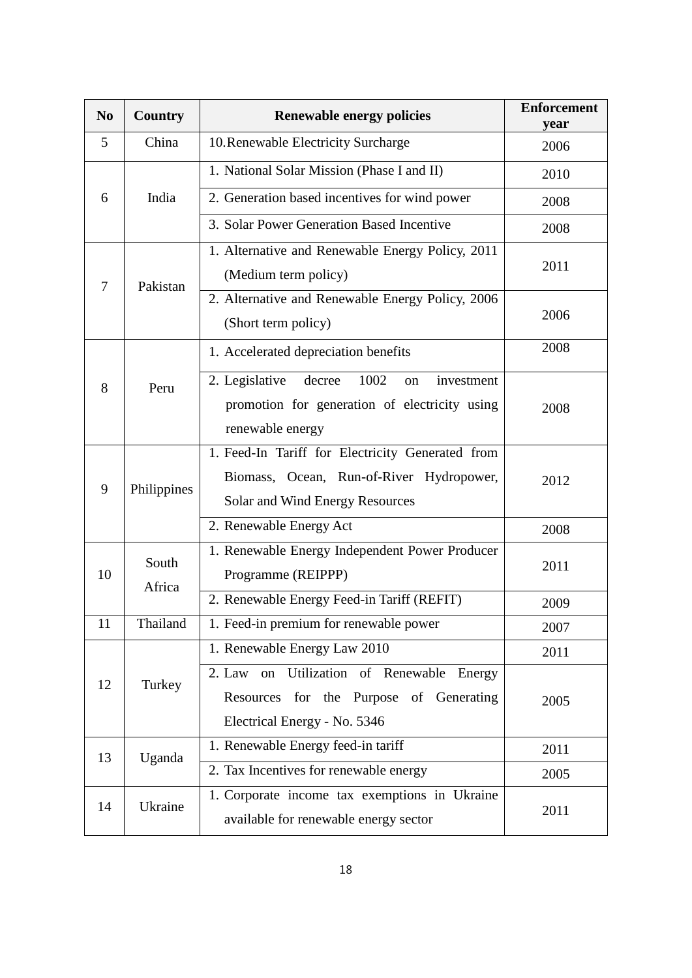| N <sub>0</sub> | <b>Country</b>  | <b>Renewable energy policies</b>                                                                                                | <b>Enforcement</b><br>year |
|----------------|-----------------|---------------------------------------------------------------------------------------------------------------------------------|----------------------------|
| 5              | China           | 10. Renewable Electricity Surcharge                                                                                             | 2006                       |
|                |                 | 1. National Solar Mission (Phase I and II)                                                                                      | 2010                       |
| 6              | India           | 2. Generation based incentives for wind power                                                                                   | 2008                       |
|                |                 | 3. Solar Power Generation Based Incentive                                                                                       | 2008                       |
| 7              | Pakistan        | 1. Alternative and Renewable Energy Policy, 2011<br>(Medium term policy)                                                        | 2011                       |
|                |                 | 2. Alternative and Renewable Energy Policy, 2006<br>(Short term policy)                                                         | 2006                       |
|                |                 | 1. Accelerated depreciation benefits                                                                                            | 2008                       |
| 8              | Peru            | 2. Legislative<br>1002<br>decree<br>investment<br>on<br>promotion for generation of electricity using<br>renewable energy       | 2008                       |
| 9              | Philippines     | 1. Feed-In Tariff for Electricity Generated from<br>Biomass, Ocean, Run-of-River Hydropower,<br>Solar and Wind Energy Resources | 2012                       |
|                |                 | 2. Renewable Energy Act                                                                                                         | 2008                       |
| 10             | South<br>Africa | 1. Renewable Energy Independent Power Producer<br>Programme (REIPPP)                                                            | 2011                       |
|                |                 | 2. Renewable Energy Feed-in Tariff (REFIT)                                                                                      | 2009                       |
| 11             | Thailand        | 1. Feed-in premium for renewable power                                                                                          | 2007                       |
|                |                 | 1. Renewable Energy Law 2010                                                                                                    | 2011                       |
| 12             | Turkey          | Utilization of Renewable Energy<br>2. Law<br>on<br>Resources for the Purpose of Generating<br>Electrical Energy - No. 5346      | 2005                       |
| 13             | Uganda          | 1. Renewable Energy feed-in tariff                                                                                              | 2011                       |
|                |                 | 2. Tax Incentives for renewable energy                                                                                          | 2005                       |
| 14             | Ukraine         | 1. Corporate income tax exemptions in Ukraine<br>available for renewable energy sector                                          | 2011                       |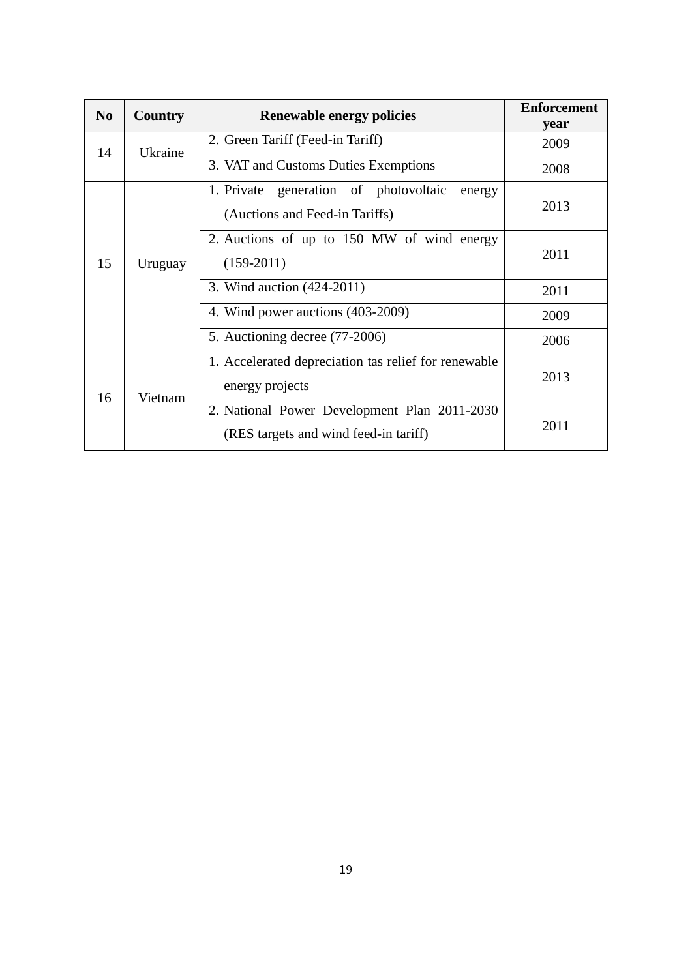| N <sub>0</sub> | Country | <b>Renewable energy policies</b>                                                      | <b>Enforcement</b><br>year |
|----------------|---------|---------------------------------------------------------------------------------------|----------------------------|
| 14             | Ukraine | 2. Green Tariff (Feed-in Tariff)                                                      | 2009                       |
|                |         | 3. VAT and Customs Duties Exemptions                                                  | 2008                       |
|                |         | generation of photovoltaic<br>1. Private<br>energy<br>(Auctions and Feed-in Tariffs)  | 2013                       |
| 15<br>16       | Uruguay | 2. Auctions of up to 150 MW of wind energy<br>$(159-2011)$                            | 2011                       |
|                |         | 3. Wind auction (424-2011)                                                            | 2011                       |
|                |         | 4. Wind power auctions (403-2009)                                                     | 2009                       |
|                |         | 5. Auctioning decree (77-2006)                                                        | 2006                       |
|                | Vietnam | 1. Accelerated depreciation tas relief for renewable<br>energy projects               | 2013                       |
|                |         | 2. National Power Development Plan 2011-2030<br>(RES targets and wind feed-in tariff) | 2011                       |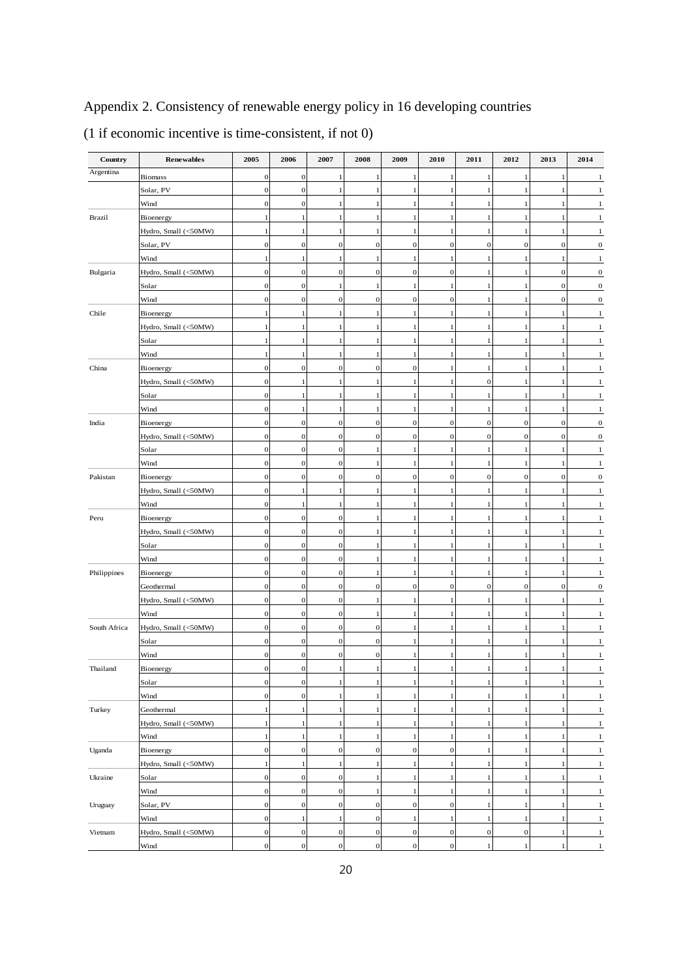Appendix 2. Consistency of renewable energy policy in 16 developing countries

| Country      | <b>Renewables</b>    | 2005             | 2006             | 2007             | 2008             | 2009             | 2010             | 2011             | 2012             | 2013             | 2014             |
|--------------|----------------------|------------------|------------------|------------------|------------------|------------------|------------------|------------------|------------------|------------------|------------------|
| Argentina    | <b>Biomass</b>       | $\mathbf{0}$     | $\mathbf{0}$     | -1               | 1                | 1                | -1               | 1                | -1               | -1               | 1                |
|              | Solar, PV            | $\boldsymbol{0}$ | $\mathbf{0}$     | 1                | 1                | 1                | $\mathbf{1}$     | 1                | $\mathbf{1}$     | -1               | 1                |
|              | Wind                 | $\mathbf{0}$     | $\mathbf{0}$     | $\mathbf{1}$     | 1                | 1                | -1               | 1                | $\mathbf{1}$     | -1               | 1                |
| Brazil       | Bioenergy            | 1                | 1                | $\mathbf{1}$     | 1                | 1                |                  | 1                | 1                |                  | 1                |
|              | Hydro, Small (<50MW) | 1                | -1               | -1               | 1                | 1                |                  | 1                | 1                |                  |                  |
|              | Solar, PV            | $\mathbf{0}$     | $\mathbf{0}$     | $\mathbf 0$      | $\bf{0}$         | $\mathbf{0}$     | $\overline{0}$   | $\mathbf 0$      | $\mathbf{0}$     | $\boldsymbol{0}$ | 0                |
|              | Wind                 | 1                | $\mathbf{1}$     | $\mathbf{1}$     | 1                | 1                | $\mathbf{1}$     | 1                | 1                | -1               | 1                |
| Bulgaria     | Hydro, Small (<50MW) | $\mathbf{0}$     | $\mathbf{0}$     | $\mathbf 0$      | $\boldsymbol{0}$ | $\mathbf 0$      | $\boldsymbol{0}$ | 1                | 1                | $\boldsymbol{0}$ | $\boldsymbol{0}$ |
|              | Solar                | $\mathbf{0}$     | $\mathbf{0}$     | $\mathbf{1}$     | 1                | 1                | $\mathbf{1}$     | 1                | 1                | $\theta$         | $\boldsymbol{0}$ |
|              | Wind                 | $\mathbf{0}$     | $\mathbf{0}$     | $\mathbf{0}$     | $\boldsymbol{0}$ | $\mathbf{O}$     | $\mathbf{0}$     | 1                | 1                | $\mathbf{0}$     | $\boldsymbol{0}$ |
| Chile        | Bioenergy            | 1                | 1                | 1                | 1                | 1                | -1               | 1                | 1                | -1               | 1                |
|              | Hydro, Small (<50MW) | 1                | 1                | $\mathbf{1}$     | 1                | 1                | -1               | 1                | 1                |                  |                  |
|              | Solar                | 1                | 1                | 1                | ı                | 1                | -1               | 1                | 1                | -1               | 1                |
|              | Wind                 | $\mathbf{1}$     | $\mathbf{1}$     | $\mathbf{1}$     | 1                | $\mathbf{1}$     | $\mathbf{1}$     | $\mathbf{1}$     | $\mathbf{1}$     | -1               | 1                |
| China        | Bioenergy            | $\mathbf{0}$     | $\mathbf{0}$     | $\mathbf{0}$     | $\boldsymbol{0}$ | $\mathbf 0$      | $\mathbf{1}$     | $\mathbf{1}$     | $\mathbf{1}$     | $\mathbf{1}$     | 1                |
|              | Hydro, Small (<50MW) | $\mathbf{0}$     | 1                | $\mathbf{1}$     | 1                | 1                | $\mathbf{1}$     | $\mathbf{0}$     | $\mathbf{1}$     |                  | 1                |
|              | Solar                | $\boldsymbol{0}$ | 1                | 1                | 1                | 1                | $\mathbf{1}$     | 1                | $\mathbf{1}$     |                  | 1                |
|              | Wind                 | $\boldsymbol{0}$ | 1                | 1                | 1                | 1                | -1               | 1                | 1                |                  | 1                |
| India        | Bioenergy            | $\mathbf{0}$     | $\mathbf{0}$     | $\mathbf{0}$     | $\boldsymbol{0}$ | $\overline{0}$   | $\boldsymbol{0}$ | $\boldsymbol{0}$ | $\mathbf{0}$     | $\boldsymbol{0}$ | $\boldsymbol{0}$ |
|              | Hydro, Small (<50MW) | $\mathbf{0}$     | $\mathbf{0}$     | $\mathbf{0}$     | $\mathbf{0}$     | $\overline{0}$   | $\boldsymbol{0}$ | $\mathbf{0}$     | $\mathbf{0}$     | $\boldsymbol{0}$ | $\boldsymbol{0}$ |
|              | Solar                | $\mathbf{0}$     | $\mathbf{0}$     | $\mathbf{0}$     | 1                | 1                | $\mathbf{1}$     | 1                | 1                | -1               | 1                |
| Pakistan     | Wind                 | $\mathbf{0}$     | $\mathbf{0}$     | $\mathbf{0}$     | 1                | 1                | 1                | 1                | 1                | $\mathbf{1}$     | 1                |
|              | Bioenergy            | $\mathbf{0}$     | $\bf{0}$         | $\mathbf{0}$     | $\boldsymbol{0}$ | $\mathbf 0$      | $\mathbf{0}$     | $\mathbf{0}$     | $\mathbf{0}$     | $\mathbf{0}$     | $\boldsymbol{0}$ |
| Peru         | Hydro, Small (<50MW) | $\mathbf{0}$     | 1                | 1                | 1                | 1                | -1               | 1                | 1                | -1               | 1                |
|              | Wind                 | $\mathbf{0}$     | 1                | 1                | 1                | 1                | -1               | 1                | $\mathbf{1}$     | -1               | 1                |
|              | Bioenergy            | $\mathbf{0}$     | $\mathbf{0}$     | $\boldsymbol{0}$ | 1                | 1                | -1               | 1                | $\mathbf{1}$     | -1               | 1                |
|              | Hydro, Small (<50MW) | $\boldsymbol{0}$ | $\mathbf{0}$     | $\mathbf{0}$     | 1                | 1                | $\mathbf{1}$     | $\mathbf{1}$     | $\mathbf{1}$     | -1               | 1                |
|              | Solar                | $\boldsymbol{0}$ | $\mathbf{0}$     | $\boldsymbol{0}$ | 1                | 1                | -1               | 1                | $\mathbf{1}$     |                  | 1                |
|              | Wind                 | $\mathbf{0}$     | $\mathbf 0$      | $\mathbf{0}$     | 1                | 1                |                  | 1                | $\mathbf{1}$     |                  | 1                |
| Philippines  | Bioenergy            | $\boldsymbol{0}$ | $\mathbf{0}$     | $\mathbf{0}$     | 1                | 1                | -1               | 1                | 1                |                  | 1                |
|              | Geothermal           | $\mathbf{0}$     | $\mathbf{0}$     | $\mathbf 0$      | $\boldsymbol{0}$ | $\boldsymbol{0}$ | $\mathbf 0$      | $\boldsymbol{0}$ | $\boldsymbol{0}$ | $\boldsymbol{0}$ | 0                |
|              | Hydro, Small (<50MW) | $\mathbf{0}$     | $\mathbf{0}$     | $\mathbf{0}$     | 1                | 1                | -1               | 1                | 1                |                  |                  |
|              | Wind                 | $\mathbf{0}$     | $\boldsymbol{0}$ | $\mathbf{0}$     | 1                | 1                | $\mathbf{1}$     | 1                | 1                |                  |                  |
| South Africa | Hydro, Small (<50MW) | $\mathbf{0}$     | $\mathbf{0}$     | $\mathbf{0}$     | $\mathbf{0}$     | $\mathbf{1}$     | $\mathbf{1}$     | 1                | 1                |                  |                  |
|              | Solar                | $\mathbf{0}$     | $\mathbf{0}$     | $\mathbf{0}$     | $\bf{0}$         | 1                | $\mathbf{1}$     | 1                | 1                | -1               |                  |
|              | Wind                 | $\mathbf{0}$     | $\mathbf{0}$     | $\mathbf{0}$     | $\boldsymbol{0}$ | 1                | -1               | 1                | 1                |                  |                  |
| Thailand     | Bioenergy            | $\mathbf{0}$     | $\bf{0}$         |                  |                  | 1                |                  |                  | л                |                  |                  |
|              | Solar                | $\boldsymbol{0}$ | $\boldsymbol{0}$ | 1                | $\mathbf{1}$     | $\mathbf{1}$     | 1                | 1                | $\mathbf{1}$     | 1                | $\mathbf{1}$     |
|              | Wind                 | $\boldsymbol{0}$ | $\boldsymbol{0}$ | $\mathbf{1}$     | $\mathbf{1}$     | $\,1$            | $\mathbf{1}$     | $\mathbf{1}$     | $\,1$            | $\mathbf{1}$     | $\,1$            |
|              | Geothermal           | $\mathbf{1}$     | $\mathbf{1}$     | $\mathbf{1}$     | $\,1$            | $\mathbf{1}$     | $\mathbf{1}$     | $\mathbf{1}$     | $\mathbf{1}$     | $\mathbf{1}$     | $\mathbf{1}$     |
| Turkey       | Hydro, Small (<50MW) | $\mathbf{1}$     | $\mathbf{1}$     | $\mathbf{1}$     | $\mathbf{1}$     | $\mathbf{1}$     | $\mathbf{1}$     | 1                | $\mathbf{1}$     | $\mathbf{1}$     | $\mathbf{1}$     |
|              | Wind                 | $\,1$            | $\mathbf{1}$     | $\mathbf{1}$     | $\,1$            | $\mathbf{1}$     | $\mathbf{1}$     | $\,1$            | $\mathbf{1}$     | $\mathbf{1}$     | $\mathbf{1}$     |
| Uganda       | Bioenergy            | $\boldsymbol{0}$ | $\mathbf{0}$     | $\mathbf{0}$     | $\boldsymbol{0}$ | $\mathbf{0}$     | $\boldsymbol{0}$ | 1                | $\mathbf{1}$     | $\mathbf{1}$     | $\,1$            |
|              | Hydro, Small (<50MW) | $\mathbf{1}$     | $\mathbf{1}$     | $\mathbf{1}$     | $\mathbf{1}$     | $\mathbf{1}$     | $\mathbf{1}$     | 1                | $\mathbf{1}$     | $\mathbf{1}$     | $\,1$            |
| Ukraine      | Solar                | $\mathbf{0}$     | $\boldsymbol{0}$ | $\boldsymbol{0}$ | $\mathbf{1}$     | $\mathbf{1}$     | $\mathbf{1}$     | $\mathbf{1}$     | $\mathbf{1}$     | $\mathbf{1}$     | $\,1\,$          |
|              | Wind                 | $\boldsymbol{0}$ | $\mathbf{0}$     | $\boldsymbol{0}$ | $\,1$            | $\mathbf{1}$     | $\mathbf{1}$     | $\,1$            | $\mathbf{1}$     | 1                | $\mathbf{1}$     |
| Uruguay      | Solar, PV            | $\mathbf{0}$     | $\bf{0}$         | $\boldsymbol{0}$ | $\mathbf{0}$     | $\Omega$         | $\boldsymbol{0}$ | $\mathbf{1}$     | $\mathbf{1}$     | 1                | $\mathbf{1}$     |
|              | Wind                 | $\mathbf{0}$     | 1                | 1                | $\bf{0}$         | 1                | $\mathbf{1}$     | 1                | 1                | 1                | $\mathbf{1}$     |
| Vietnam      | Hydro, Small (<50MW) | $\mathbf{0}$     | $\mathbf{0}$     | $\bf{0}$         | $\mathbf{0}$     | $\overline{0}$   | $\mathbf{0}$     | $\mathbf{0}$     | $\mathbf{0}$     | 1                | $\mathbf{1}$     |
|              | Wind                 | $\boldsymbol{0}$ | $\boldsymbol{0}$ | $\mathbf{0}$     | $\boldsymbol{0}$ | $\overline{0}$   | $\boldsymbol{0}$ | 1                | -1               | -1               | $\mathbf{1}$     |

(1 if economic incentive is time-consistent, if not 0)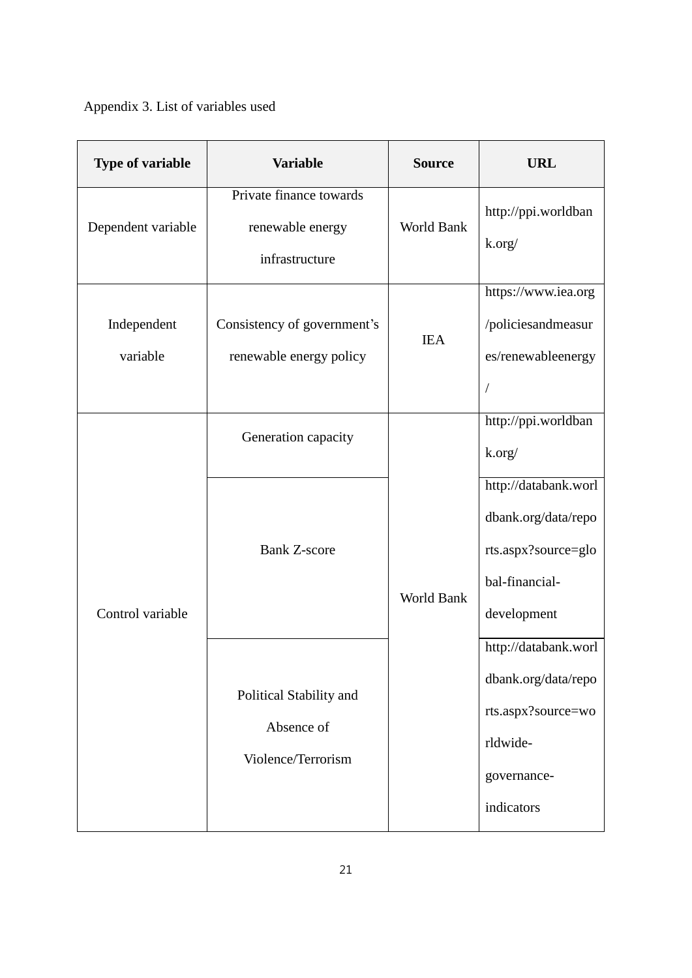Appendix 3. List of variables used

| <b>Type of variable</b> | <b>Variable</b>                                               | <b>Source</b> | <b>URL</b>                                                                                                 |
|-------------------------|---------------------------------------------------------------|---------------|------------------------------------------------------------------------------------------------------------|
| Dependent variable      | Private finance towards<br>renewable energy<br>infrastructure | World Bank    | http://ppi.worldban<br>k.org/                                                                              |
| Independent<br>variable | Consistency of government's<br>renewable energy policy        | <b>IEA</b>    | https://www.iea.org<br>/policiesandmeasur<br>es/renewableenergy                                            |
| Control variable        | Generation capacity                                           | World Bank    | http://ppi.worldban<br>k.org/                                                                              |
|                         | <b>Bank Z-score</b>                                           |               | http://databank.worl<br>dbank.org/data/repo<br>rts.aspx?source=glo<br>bal-financial-<br>development        |
|                         | Political Stability and<br>Absence of<br>Violence/Terrorism   |               | http://databank.worl<br>dbank.org/data/repo<br>rts.aspx?source=wo<br>rldwide-<br>governance-<br>indicators |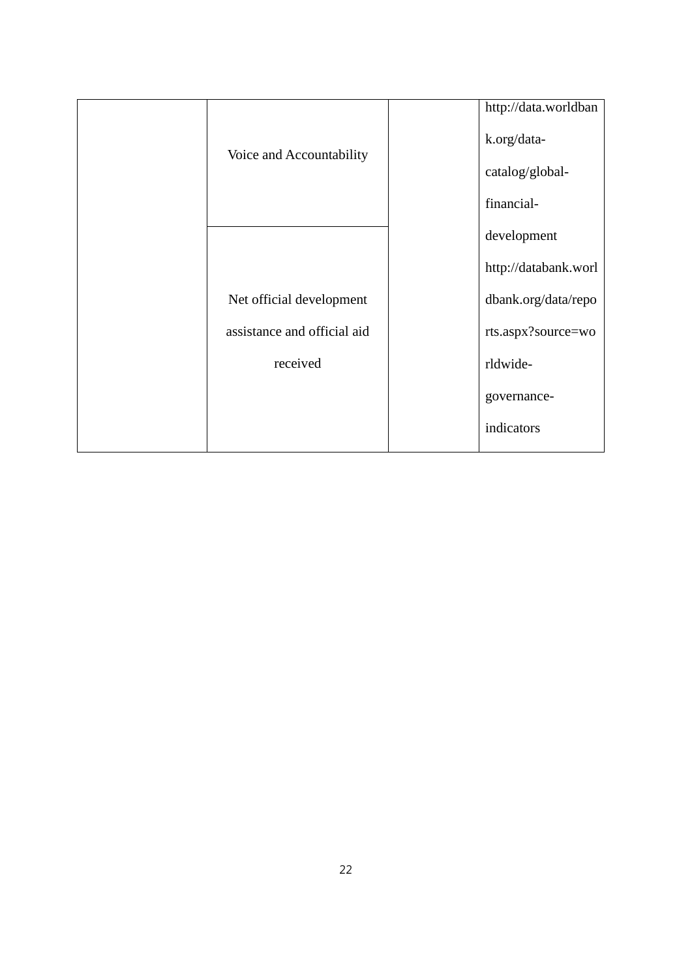|                             |  | http://data.worldban |
|-----------------------------|--|----------------------|
| Voice and Accountability    |  | k.org/data-          |
|                             |  | catalog/global-      |
|                             |  | financial-           |
|                             |  | development          |
|                             |  | http://databank.worl |
| Net official development    |  | dbank.org/data/repo  |
| assistance and official aid |  | rts.aspx?source=wo   |
| received                    |  | rldwide-             |
|                             |  | governance-          |
|                             |  | indicators           |
|                             |  |                      |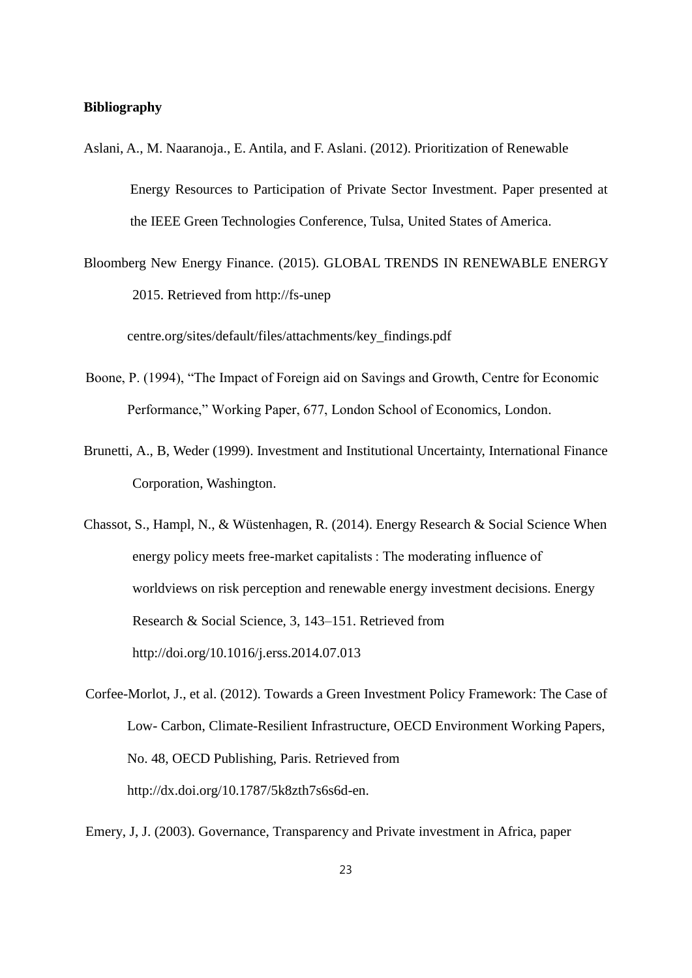#### **Bibliography**

- Aslani, A., M. Naaranoja., E. Antila, and F. Aslani. (2012). Prioritization of Renewable Energy Resources to Participation of Private Sector Investment. Paper presented at the IEEE Green Technologies Conference, Tulsa, United States of America.
- Bloomberg New Energy Finance. (2015). GLOBAL TRENDS IN RENEWABLE ENERGY 2015. Retrieved from http://fs-unep

centre.org/sites/default/files/attachments/key\_findings.pdf

- Boone, P. (1994), "The Impact of Foreign aid on Savings and Growth, Centre for Economic Performance," Working Paper, 677, London School of Economics, London.
- Brunetti, A., B, Weder (1999). Investment and Institutional Uncertainty, International Finance Corporation, Washington.
- Chassot, S., Hampl, N., & Wüstenhagen, R. (2014). Energy Research & Social Science When energy policy meets free-market capitalists : The moderating influence of worldviews on risk perception and renewable energy investment decisions. Energy Research & Social Science, 3, 143–151. Retrieved from http://doi.org/10.1016/j.erss.2014.07.013
- Corfee-Morlot, J., et al. (2012). Towards a Green Investment Policy Framework: The Case of Low- Carbon, Climate-Resilient Infrastructure, OECD Environment Working Papers, No. 48, OECD Publishing, Paris. Retrieved from http://dx.doi.org/10.1787/5k8zth7s6s6d-en.
- Emery, J, J. (2003). Governance, Transparency and Private investment in Africa, paper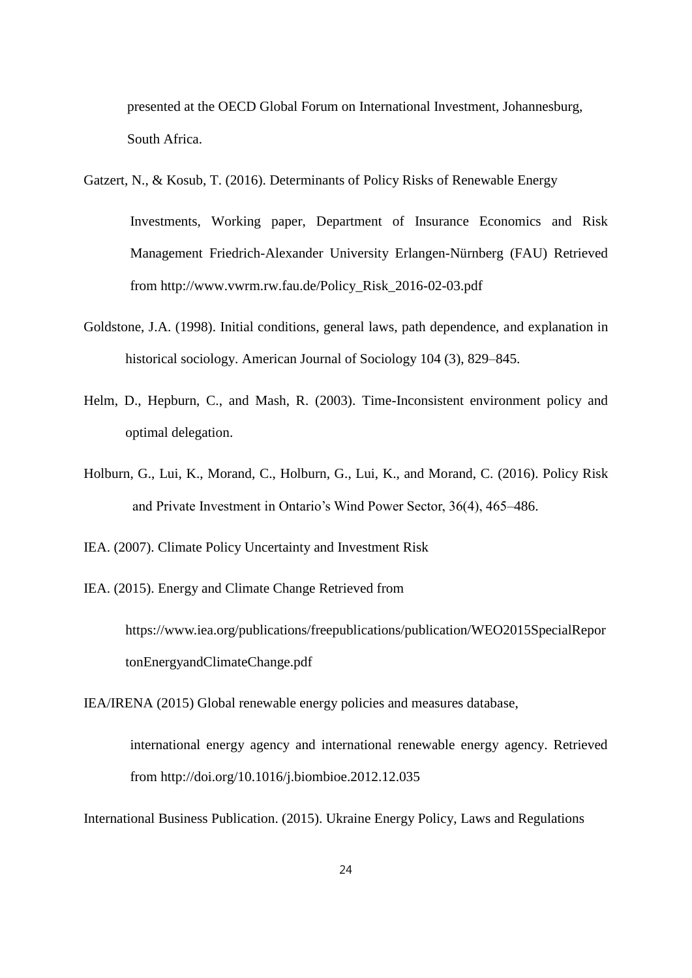presented at the OECD Global Forum on International Investment, Johannesburg, South Africa.

Gatzert, N., & Kosub, T. (2016). Determinants of Policy Risks of Renewable Energy Investments, Working paper, Department of Insurance Economics and Risk Management Friedrich-Alexander University Erlangen-Nürnberg (FAU) Retrieved

from http://www.vwrm.rw.fau.de/Policy\_Risk\_2016-02-03.pdf

- Goldstone, J.A. (1998). Initial conditions, general laws, path dependence, and explanation in historical sociology. American Journal of Sociology 104 (3), 829–845.
- Helm, D., Hepburn, C., and Mash, R. (2003). Time-Inconsistent environment policy and optimal delegation.
- Holburn, G., Lui, K., Morand, C., Holburn, G., Lui, K., and Morand, C. (2016). Policy Risk and Private Investment in Ontario's Wind Power Sector, 36(4), 465–486.
- IEA. (2007). Climate Policy Uncertainty and Investment Risk
- IEA. (2015). Energy and Climate Change Retrieved from

https://www.iea.org/publications/freepublications/publication/WEO2015SpecialRepor tonEnergyandClimateChange.pdf

IEA/IRENA (2015) Global renewable energy policies and measures database,

international energy agency and international renewable energy agency. Retrieved from http://doi.org/10.1016/j.biombioe.2012.12.035

International Business Publication. (2015). Ukraine Energy Policy, Laws and Regulations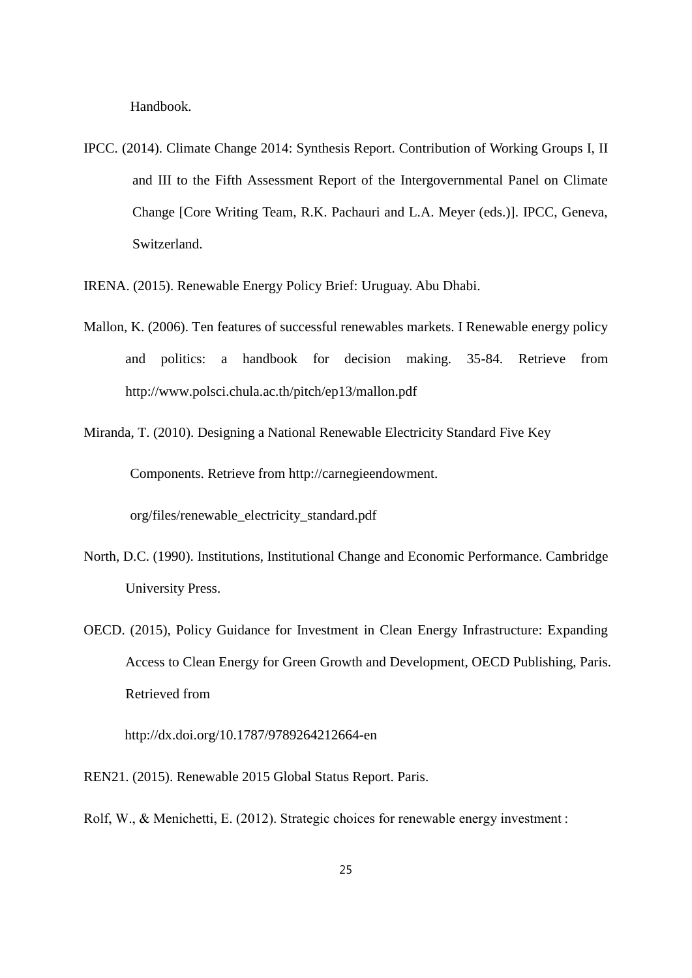Handbook.

IPCC. (2014). Climate Change 2014: Synthesis Report. Contribution of Working Groups I, II and III to the Fifth Assessment Report of the Intergovernmental Panel on Climate Change [Core Writing Team, R.K. Pachauri and L.A. Meyer (eds.)]. IPCC, Geneva, Switzerland.

IRENA. (2015). Renewable Energy Policy Brief: Uruguay. Abu Dhabi.

- Mallon, K. (2006). Ten features of successful renewables markets. I Renewable energy policy and politics: a handbook for decision making. 35-84. Retrieve from http://www.polsci.chula.ac.th/pitch/ep13/mallon.pdf
- Miranda, T. (2010). Designing a National Renewable Electricity Standard Five Key Components. Retrieve from http://carnegieendowment. org/files/renewable\_electricity\_standard.pdf
- North, D.C. (1990). Institutions, Institutional Change and Economic Performance. Cambridge University Press.
- OECD. (2015), Policy Guidance for Investment in Clean Energy Infrastructure: Expanding Access to Clean Energy for Green Growth and Development, OECD Publishing, Paris. Retrieved from

http://dx.doi.org/10.1787/9789264212664-en

REN21. (2015). Renewable 2015 Global Status Report. Paris.

Rolf, W., & Menichetti, E. (2012). Strategic choices for renewable energy investment :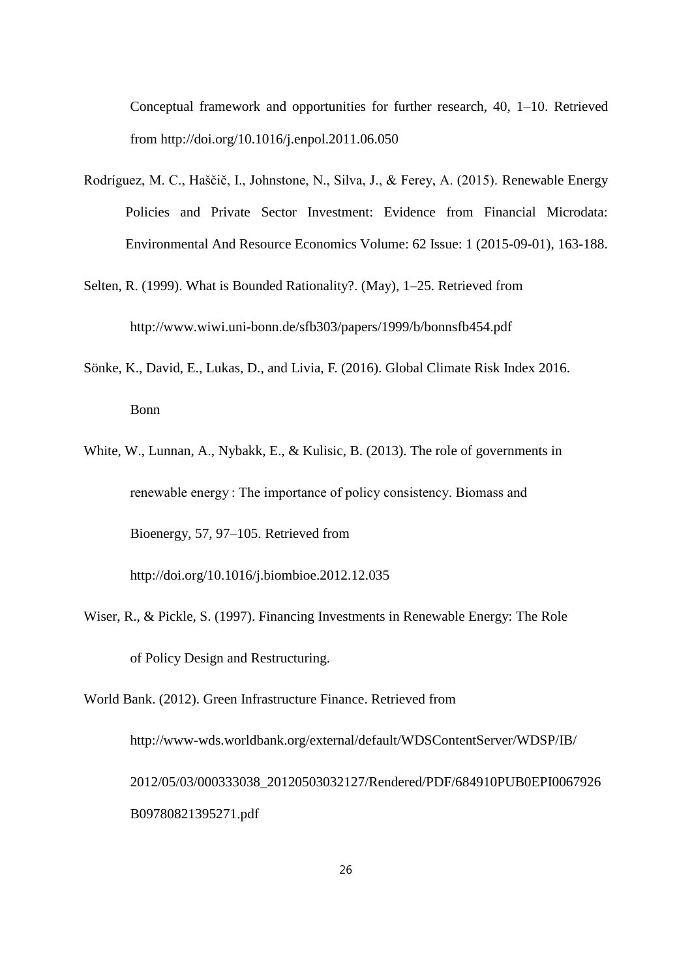Conceptual framework and opportunities for further research, 40, 1–10. Retrieved from http://doi.org/10.1016/j.enpol.2011.06.050

- Rodríguez, M. C., Haščič, I., Johnstone, N., Silva, J., & Ferey, A. (2015). Renewable Energy Policies and Private Sector Investment: Evidence from Financial Microdata: Environmental And Resource Economics Volume: 62 Issue: 1 (2015-09-01), 163-188.
- Selten, R. (1999). What is Bounded Rationality?. (May), 1–25. Retrieved from http://www.wiwi.uni-bonn.de/sfb303/papers/1999/b/bonnsfb454.pdf
- Sönke, K., David, E., Lukas, D., and Livia, F. (2016). Global Climate Risk Index 2016. Bonn
- White, W., Lunnan, A., Nybakk, E., & Kulisic, B. (2013). The role of governments in renewable energy : The importance of policy consistency. Biomass and Bioenergy, 57, 97–105. Retrieved from

http://doi.org/10.1016/j.biombioe.2012.12.035

Wiser, R., & Pickle, S. (1997). Financing Investments in Renewable Energy: The Role of Policy Design and Restructuring.

World Bank. (2012). Green Infrastructure Finance. Retrieved from http://www-wds.worldbank.org/external/default/WDSContentServer/WDSP/IB/ 2012/05/03/000333038\_20120503032127/Rendered/PDF/684910PUB0EPI0067926 B09780821395271.pdf